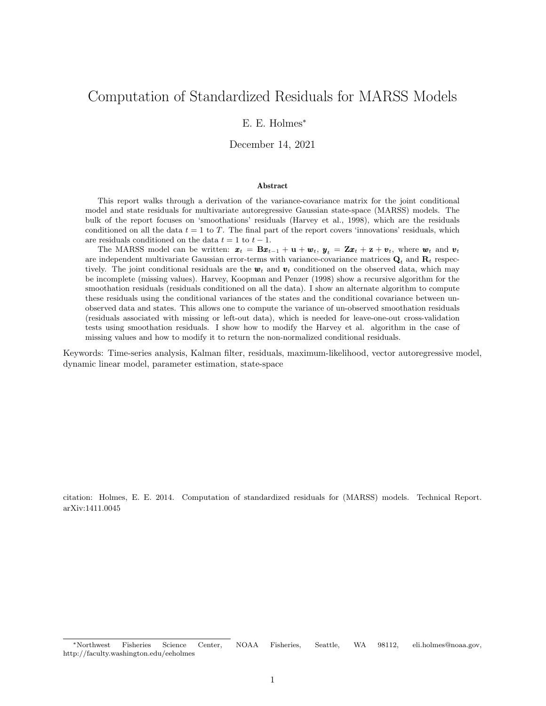# Computation of Standardized Residuals for MARSS Models

### E. E. Holmes<sup>∗</sup>

December 14, 2021

#### Abstract

This report walks through a derivation of the variance-covariance matrix for the joint conditional model and state residuals for multivariate autoregressive Gaussian state-space (MARSS) models. The bulk of the report focuses on 'smoothations' residuals (Harvey et al., 1998), which are the residuals conditioned on all the data  $t = 1$  to T. The final part of the report covers 'innovations' residuals, which are residuals conditioned on the data  $t = 1$  to  $t - 1$ .

The MARSS model can be written:  $x_t = Bx_{t-1} + u + w_t$ ,  $y_t = Zx_t + z + v_t$ , where  $w_t$  and  $v_t$ are independent multivariate Gaussian error-terms with variance-covariance matrices  $\mathbf{Q}_t$  and  $\mathbf{R}_t$  respectively. The joint conditional residuals are the  $w_t$  and  $v_t$  conditioned on the observed data, which may be incomplete (missing values). Harvey, Koopman and Penzer (1998) show a recursive algorithm for the smoothation residuals (residuals conditioned on all the data). I show an alternate algorithm to compute these residuals using the conditional variances of the states and the conditional covariance between unobserved data and states. This allows one to compute the variance of un-observed smoothation residuals (residuals associated with missing or left-out data), which is needed for leave-one-out cross-validation tests using smoothation residuals. I show how to modify the Harvey et al. algorithm in the case of missing values and how to modify it to return the non-normalized conditional residuals.

Keywords: Time-series analysis, Kalman filter, residuals, maximum-likelihood, vector autoregressive model, dynamic linear model, parameter estimation, state-space

citation: Holmes, E. E. 2014. Computation of standardized residuals for (MARSS) models. Technical Report. arXiv:1411.0045

<sup>∗</sup>Northwest Fisheries Science Center, NOAA Fisheries, Seattle, WA 98112, eli.holmes@noaa.gov, http://faculty.washington.edu/eeholmes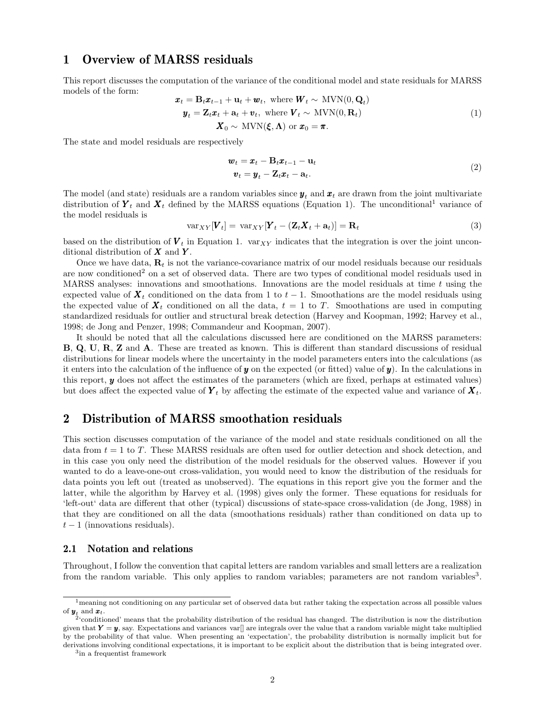# 1 Overview of MARSS residuals

This report discusses the computation of the variance of the conditional model and state residuals for MARSS models of the form:  $\overline{M}$ 

$$
\mathbf{x}_t = \mathbf{B}_t \mathbf{x}_{t-1} + \mathbf{u}_t + \mathbf{w}_t, \text{ where } \mathbf{W}_t \sim \text{MVN}(0, \mathbf{Q}_t)
$$
\n
$$
\mathbf{y}_t = \mathbf{Z}_t \mathbf{x}_t + \mathbf{a}_t + \mathbf{v}_t, \text{ where } \mathbf{V}_t \sim \text{MVN}(0, \mathbf{R}_t)
$$
\n
$$
\mathbf{X}_0 \sim \text{MVN}(\boldsymbol{\xi}, \boldsymbol{\Lambda}) \text{ or } \mathbf{x}_0 = \boldsymbol{\pi}.
$$
\n(1)

The state and model residuals are respectively

$$
\boldsymbol{w}_t = \boldsymbol{x}_t - \mathbf{B}_t \boldsymbol{x}_{t-1} - \mathbf{u}_t \n\boldsymbol{v}_t = \boldsymbol{y}_t - \mathbf{Z}_t \boldsymbol{x}_t - \mathbf{a}_t.
$$
\n(2)

The model (and state) residuals are a random variables since  $y_t$  and  $x_t$  are drawn from the joint multivariate distribution of  $Y_t$  and  $X_t$  defined by the MARSS equations (Equation 1). The unconditional<sup>1</sup> variance of the model residuals is

$$
\text{var}_{XY}[\boldsymbol{V}_t] = \text{var}_{XY}[\boldsymbol{Y}_t - (\boldsymbol{Z}_t \boldsymbol{X}_t + \mathbf{a}_t)] = \mathbf{R}_t
$$
\n(3)

based on the distribution of  $V_t$  in Equation 1. var<sub>XY</sub> indicates that the integration is over the joint unconditional distribution of  $X$  and  $Y$ .

Once we have data,  $\mathbf{R}_t$  is not the variance-covariance matrix of our model residuals because our residuals are now conditioned<sup>2</sup> on a set of observed data. There are two types of conditional model residuals used in MARSS analyses: innovations and smoothations. Innovations are the model residuals at time  $t$  using the expected value of  $\mathbf{X}_t$  conditioned on the data from 1 to  $t-1$ . Smoothations are the model residuals using the expected value of  $X_t$  conditioned on all the data,  $t = 1$  to T. Smoothations are used in computing standardized residuals for outlier and structural break detection (Harvey and Koopman, 1992; Harvey et al., 1998; de Jong and Penzer, 1998; Commandeur and Koopman, 2007).

It should be noted that all the calculations discussed here are conditioned on the MARSS parameters: B, Q, U, R, Z and A. These are treated as known. This is different than standard discussions of residual distributions for linear models where the uncertainty in the model parameters enters into the calculations (as it enters into the calculation of the influence of y on the expected (or fitted) value of  $y$ ). In the calculations in this report, y does not affect the estimates of the parameters (which are fixed, perhaps at estimated values) but does affect the expected value of  $Y_t$  by affecting the estimate of the expected value and variance of  $X_t$ .

# 2 Distribution of MARSS smoothation residuals

This section discusses computation of the variance of the model and state residuals conditioned on all the data from  $t = 1$  to T. These MARSS residuals are often used for outlier detection and shock detection, and in this case you only need the distribution of the model residuals for the observed values. However if you wanted to do a leave-one-out cross-validation, you would need to know the distribution of the residuals for data points you left out (treated as unobserved). The equations in this report give you the former and the latter, while the algorithm by Harvey et al. (1998) gives only the former. These equations for residuals for 'left-out' data are different that other (typical) discussions of state-space cross-validation (de Jong, 1988) in that they are conditioned on all the data (smoothations residuals) rather than conditioned on data up to  $t-1$  (innovations residuals).

### 2.1 Notation and relations

Throughout, I follow the convention that capital letters are random variables and small letters are a realization from the random variable. This only applies to random variables; parameters are not random variables<sup>3</sup>.

3 in a frequentist framework

 $<sup>1</sup>$ meaning not conditioning on any particular set of observed data but rather taking the expectation across all possible values</sup> of  $\mathbf{y}_t$  and  $\mathbf{x}_t$ .<br><sup>2</sup>'conditioned' means that the probability distribution of the residual has changed. The distribution is now the distribution

given that  $Y = y$ , say. Expectations and variances varf are integrals over the value that a random variable might take multiplied by the probability of that value. When presenting an 'expectation', the probability distribution is normally implicit but for derivations involving conditional expectations, it is important to be explicit about the distribution that is being integrated over.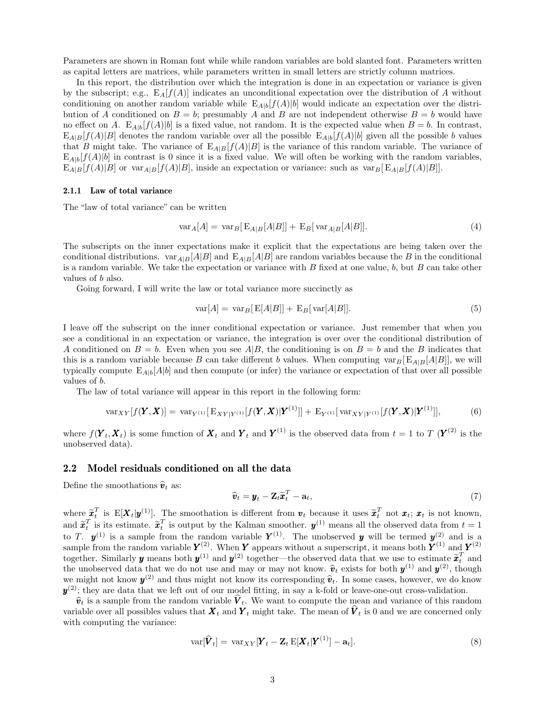Parameters are shown in Roman font while while random variables are bold slanted font. Parameters written as capital letters are matrices, while parameters written in small letters are strictly column matrices.

In this report, the distribution over which the integration is done in an expectation or variance is given by the subscript; e.g.,  $E_A[f(A)]$  indicates an unconditional expectation over the distribution of A without conditioning on another random variable while  $E_{A|b}[f(A)|b]$  would indicate an expectation over the distribution of A conditioned on  $B = b$ ; presumably A and B are not independent otherwise  $B = b$  would have no effect on A.  $E_{A|b}[f(A)|b]$  is a fixed value, not random. It is the expected value when  $B=b$ . In contrast,  $E_{A|B}[f(A)|B]$  denotes the random variable over all the possible  $E_{A|b}[f(A)|b]$  given all the possible b values that B might take. The variance of  $E_{A|B}[f(A)|B]$  is the variance of this random variable. The variance of  $E_{A|b}[f(A)|b]$  in contrast is 0 since it is a fixed value. We will often be working with the random variables,  $E_{A|B}[f(A)|B]$  or  $var_{A|B}[f(A)|B]$ , inside an expectation or variance: such as  $var_{B}[E_{A|B}[f(A)|B]]$ .

### 2.1.1 Law of total variance

The "law of total variance" can be written

$$
\text{var}_A[A] = \text{var}_B[\text{E}_{A|B}[A|B]] + \text{E}_B[\text{var}_{A|B}[A|B]]. \tag{4}
$$

The subscripts on the inner expectations make it explicit that the expectations are being taken over the conditional distributions.  $var_{A|B}[A|B]$  and  $E_{A|B}[A|B]$  are random variables because the B in the conditional is a random variable. We take the expectation or variance with  $B$  fixed at one value,  $b$ , but  $B$  can take other values of b also.

Going forward, I will write the law or total variance more succinctly as

$$
\text{var}[A] = \text{var}_B[\text{E}[A|B]] + \text{E}_B[\text{var}[A|B]]. \tag{5}
$$

I leave off the subscript on the inner conditional expectation or variance. Just remember that when you see a conditional in an expectation or variance, the integration is over over the conditional distribution of A conditioned on  $B = b$ . Even when you see A|B, the conditioning is on  $B = b$  and the B indicates that this is a random variable because B can take different b values. When computing  $var_B[E_{A|B}[A|B]]$ , we will typically compute  $E_{A|b}[A|b]$  and then compute (or infer) the variance or expectation of that over all possible values of b.

The law of total variance will appear in this report in the following form:

$$
\text{var}_{XY}[f(\boldsymbol{Y}, \boldsymbol{X})] = \text{var}_{Y^{(1)}}[\text{E}_{XY|Y^{(1)}}[f(\boldsymbol{Y}, \boldsymbol{X})|\boldsymbol{Y}^{(1)}]] + \text{E}_{Y^{(1)}}[\text{var}_{XY|Y^{(1)}}[f(\boldsymbol{Y}, \boldsymbol{X})|\boldsymbol{Y}^{(1)}]], \tag{6}
$$

where  $f(\boldsymbol{Y}_t, \boldsymbol{X}_t)$  is some function of  $\boldsymbol{X}_t$  and  $\boldsymbol{Y}_t$  and  $\boldsymbol{Y}^{(1)}$  is the observed data from  $t = 1$  to T  $(\boldsymbol{Y}^{(2)}$  is the unobserved data).

### 2.2 Model residuals conditioned on all the data

Define the smoothations  $\hat{\boldsymbol{v}}_t$  as:

$$
\widehat{\boldsymbol{v}}_t = \boldsymbol{y}_t - \mathbf{Z}_t \widetilde{\boldsymbol{x}}_t^T - \mathbf{a}_t, \tag{7}
$$

where  $\widetilde{\boldsymbol{x}}_t^T$  is  $E[\boldsymbol{X}_t|\boldsymbol{y}^{(1)}]$ . The smoothation is different from  $\boldsymbol{v}_t$  because it uses  $\widetilde{\boldsymbol{x}}_t^T$  not  $\boldsymbol{x}_t$ ;  $\boldsymbol{x}_t$  is not known, and  $\tilde{x}_t^T$  is its estimate.  $\tilde{x}_t^T$  is output by the Kalman smoother.  $y^{(1)}$  means all the observed data from  $t = 1$ to T.  $y^{(1)}$  is a sample from the random variable  $Y^{(1)}$ . The unobserved y will be termed  $y^{(2)}$  and is a sample from the random variable  $Y^{(2)}$ . When Y appears without a superscript, it means both  $Y^{(1)}$  and  $Y^{(2)}$ together. Similarly **y** means both  $y^{(1)}$  and  $y^{(2)}$  together—the observed data that we use to estimate  $\tilde{x}_t^T$  and the unchanged data that we use to estimate  $\tilde{x}_t^T$  and the unchanged data that we do not use and the unobserved data that we do not use and may or may not know.  $\hat{v}_t$  exists for both  $y^{(1)}$  and  $y^{(2)}$ , though<br>we might not know  $y^{(2)}$  and thus might not know its corresponding  $\hat{v}_t$ . In some assess however, we we might not know  $y^{(2)}$  and thus might not know its corresponding  $\hat{v}_t$ . In some cases, however, we do know  $v^{(2)}$ : they are data that we left out of our model fitting in soy a k fold or leave are out gross validati  $y^{(2)}$ ; they are data that we left out of our model fitting, in say a k-fold or leave-one-out cross-validation.

 $\hat{v}_t$  is a sample from the random variable  $V_t$ . We want to compute the mean and variance of this random is ble over all possible values that  $\mathbf{Y}_t$  and  $\mathbf{Y}_t$  might take. The mean of  $\hat{V}_t$  is 0 and we are sep variable over all possibles values that  $\boldsymbol{X}_t$  and  $\boldsymbol{Y}_t$  might take. The mean of  $\boldsymbol{V}_t$  is 0 and we are concerned only with computing the variance:

$$
\text{var}[\widehat{\boldsymbol{V}}_t] = \text{var}_{XY}[\boldsymbol{Y}_t - \boldsymbol{Z}_t \mathbf{E}[\boldsymbol{X}_t | \boldsymbol{Y}^{(1)}] - \mathbf{a}_t]. \tag{8}
$$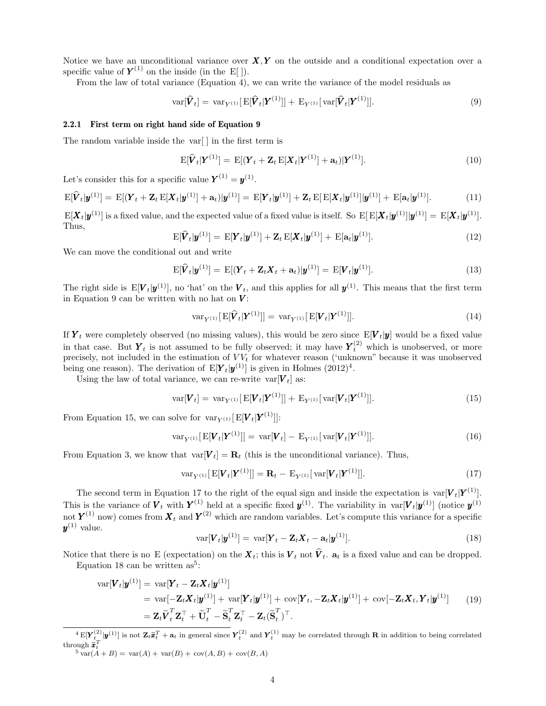Notice we have an unconditional variance over  $X, Y$  on the outside and a conditional expectation over a specific value of  $Y^{(1)}$  on the inside (in the E[]).

From the law of total variance (Equation 4), we can write the variance of the model residuals as

$$
\text{var}[\widehat{\boldsymbol{V}}_t] = \text{var}_{Y^{(1)}}[\text{E}[\widehat{\boldsymbol{V}}_t|\boldsymbol{Y}^{(1)}]] + \text{E}_{Y^{(1)}}[\text{var}[\widehat{\boldsymbol{V}}_t|\boldsymbol{Y}^{(1)}]]. \qquad (9)
$$

### 2.2.1 First term on right hand side of Equation 9

The random variable inside the var[ ] in the first term is

$$
\mathbf{E}[\widehat{\boldsymbol{V}}_t|\boldsymbol{Y}^{(1)}] = \mathbf{E}[(\boldsymbol{Y}_t + \mathbf{Z}_t \mathbf{E}[\boldsymbol{X}_t|\boldsymbol{Y}^{(1)}] + \mathbf{a}_t)|\boldsymbol{Y}^{(1)}]. \tag{10}
$$

Let's consider this for a specific value  $\boldsymbol{Y}^{(1)} = \boldsymbol{y}^{(1)}$ .

$$
E[\widehat{\bm{V}}_t|\bm{y}^{(1)}] = E[(\bm{Y}_t + \bm{Z}_t E[\bm{X}_t|\bm{y}^{(1)}] + \mathbf{a}_t)|\bm{y}^{(1)}] = E[\bm{Y}_t|\bm{y}^{(1)}] + \bm{Z}_t E[E[\bm{X}_t|\bm{y}^{(1)}]|\bm{y}^{(1)}] + E[\mathbf{a}_t|\bm{y}^{(1)}].
$$
\n(11)

 $\mathrm{E}[\bm{X}_t|\bm{y}^{(1)}]$  is a fixed value, and the expected value of a fixed value is itself. So  $\mathrm{E}[\mathrm{E}[\bm{X}_t|\bm{y}^{(1)}]|\bm{y}^{(1)}] = \mathrm{E}[\bm{X}_t|\bm{y}^{(1)}].$ Thus,

$$
\mathbf{E}[\widehat{\boldsymbol{V}}_t|\boldsymbol{y}^{(1)}] = \mathbf{E}[\boldsymbol{Y}_t|\boldsymbol{y}^{(1)}] + \mathbf{Z}_t \mathbf{E}[\boldsymbol{X}_t|\boldsymbol{y}^{(1)}] + \mathbf{E}[\mathbf{a}_t|\boldsymbol{y}^{(1)}].
$$
\n(12)

We can move the conditional out and write

$$
\mathrm{E}[\widehat{\boldsymbol{V}}_t|\boldsymbol{y}^{(1)}] = \mathrm{E}[(\boldsymbol{Y}_t + \mathbf{Z}_t \boldsymbol{X}_t + \mathbf{a}_t)|\boldsymbol{y}^{(1)}] = \mathrm{E}[\boldsymbol{V}_t|\boldsymbol{y}^{(1)}]. \tag{13}
$$

The right side is  $E[V_t|\bm{y}^{(1)}]$ , no 'hat' on the  $V_t$ , and this applies for all  $\bm{y}^{(1)}$ . This means that the first term in Equation 9 can be written with no hat on  $V$ :

$$
\operatorname{var}_{Y^{(1)}}[\operatorname{E}[\widehat{\boldsymbol{V}}_t|\boldsymbol{Y}^{(1)}]] = \operatorname{var}_{Y^{(1)}}[\operatorname{E}[\boldsymbol{V}_t|\boldsymbol{Y}^{(1)}]]. \tag{14}
$$

If  $Y_t$  were completely observed (no missing values), this would be zero since  $E[V_t|y]$  would be a fixed value in that case. But  $Y_t$  is not assumed to be fully observed; it may have  $Y_t^{(2)}$  which is unobserved, or more precisely, not included in the estimation of  $VV_t$  for whatever reason ('unknown" because it was unobserved being one reason). The derivation of  $E[Y_t|y^{(1)}]$  is given in Holmes  $(2012)^4$ .

Using the law of total variance, we can re-write var $[V_t]$  as:

$$
var[\bm{V}_t] = var_{Y^{(1)}}[E[\bm{V}_t|\bm{Y}^{(1)}]] + E_{Y^{(1)}}[var[\bm{V}_t|\bm{Y}^{(1)}]]. \qquad (15)
$$

From Equation 15, we can solve for  $var_{Y^{(1)}}[E[\boldsymbol{V}_t|\boldsymbol{Y}^{(1)}]]$ :

$$
\text{var}_{Y^{(1)}}[\text{E}[\boldsymbol{V}_t|\boldsymbol{Y}^{(1)}]] = \text{var}[\boldsymbol{V}_t] - \text{E}_{Y^{(1)}}[\text{var}[\boldsymbol{V}_t|\boldsymbol{Y}^{(1)}]]. \qquad (16)
$$

From Equation 3, we know that  $var[V_t] = \mathbf{R}_t$  (this is the unconditional variance). Thus,

$$
var_{Y^{(1)}}[E[V_t|Y^{(1)}]] = \mathbf{R}_t - E_{Y^{(1)}}[var[V_t|Y^{(1)}]].
$$
\n(17)

The second term in Equation 17 to the right of the equal sign and inside the expectation is  $var[V_t|Y^{(1)}]$ . This is the variance of  $V_t$  with  $Y^{(1)}$  held at a specific fixed  $y^{(1)}$ . The variability in  $var[V_t|y^{(1)}]$  (notice  $y^{(1)}$ ) not  $Y^{(1)}$  now) comes from  $X_t$  and  $Y^{(2)}$  which are random variables. Let's compute this variance for a specific  $y^{(1)}$  value.

$$
\text{var}[\boldsymbol{V}_t|\boldsymbol{y}^{(1)}] = \text{var}[\boldsymbol{Y}_t - \boldsymbol{Z}_t \boldsymbol{X}_t - \mathbf{a}_t|\boldsymbol{y}^{(1)}].
$$
\n(18)

Notice that there is no E (expectation) on the  $\boldsymbol{X}_t$ ; this is  $\boldsymbol{V}_t$  not  $\boldsymbol{V}_t$ .  $\mathbf{a}_t$  is a fixed value and can be dropped. Equation 18 can be written as<sup>5</sup>:

$$
\begin{split} \text{var}[\boldsymbol{V}_{t}|\boldsymbol{y}^{(1)}] &= \text{var}[\boldsymbol{Y}_{t} - \mathbf{Z}_{t}\boldsymbol{X}_{t}|\boldsymbol{y}^{(1)}] \\ &= \text{var}[-\mathbf{Z}_{t}\boldsymbol{X}_{t}|\boldsymbol{y}^{(1)}] + \text{var}[\boldsymbol{Y}_{t}|\boldsymbol{y}^{(1)}] + \text{cov}[\boldsymbol{Y}_{t}, -\mathbf{Z}_{t}\boldsymbol{X}_{t}|\boldsymbol{y}^{(1)}] + \text{cov}[-\mathbf{Z}_{t}\boldsymbol{X}_{t}, \boldsymbol{Y}_{t}|\boldsymbol{y}^{(1)}] \\ &= \mathbf{Z}_{t}\widetilde{\boldsymbol{V}}_{t}^{T}\mathbf{Z}_{t}^{\top} + \widetilde{\mathbf{U}}_{t}^{T} - \widetilde{\mathbf{S}}_{t}^{T}\mathbf{Z}_{t}^{\top} - \mathbf{Z}_{t}(\widetilde{\mathbf{S}}_{t}^{T})^{\top}. \end{split} \tag{19}
$$

 $\mathbb{E}[\mathbf{Y}_{t}^{(2)}|\mathbf{y}^{(1)}]$  is not  $\mathbf{Z}_{t}\tilde{\mathbf{x}}_{t}^{T} + \mathbf{a}_{t}$  in general since  $\mathbf{Y}_{t}^{(2)}$  and  $\mathbf{Y}_{t}^{(1)}$  may be correlated through **R** in addition to being correlated through  $\widetilde{\boldsymbol{x}}_t^T$ <br> $\stackrel{5}{\scriptscriptstyle{\text{unr}(A)}}$ 

 $t_5 \text{var}(A+B) = \text{var}(A) + \text{var}(B) + \text{cov}(A,B) + \text{cov}(B,A)$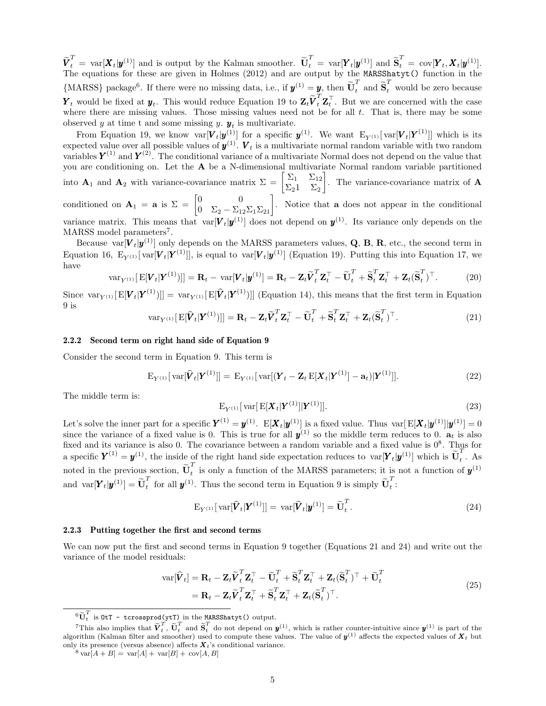$\widetilde{\mathbf{V}}_t^T = \text{var}[\mathbf{X}_t | \mathbf{y}_t^{(1)}]$  and is output by the Kalman smoother.  $\widetilde{\mathbf{U}}_t^T = \text{var}[\mathbf{Y}_t | \mathbf{y}_t^{(1)}]$  and  $\widetilde{\mathbf{S}}_t^T = \text{cov}[\mathbf{Y}_t, \mathbf{X}_t | \mathbf{y}_t^{(1)}]$ . The equations for these are given in Holmes (2012) and are output by the MARSShatyt() function in the {MARSS} package<sup>6</sup>. If there were no missing data, i.e., if  $y^{(1)} = y$ , then  $\tilde{\mathbf{U}}_t^T$  and  $\tilde{\mathbf{S}}_t^T$  would be zero because  $\boldsymbol{Y}_t$  would be fixed at  $\boldsymbol{y}_t$ . This would reduce Equation 19 to  $\mathbf{Z}_t \widetilde{\boldsymbol{V}}_t^T \mathbf{Z}_t^\top$ . But we are concerned with the case where there are missing values. Those missing values need not be for all t. That is, there may be some observed y at time t and some missing y.  $y_t$  is multivariate.

From Equation 19, we know  $\text{var}[\bm{V}_t|\bm{y}^{(1)}]$  for a specific  $\bm{y}^{(1)}$ . We want  $E_{Y^{(1)}}[\text{var}[\bm{V}_t|\bm{Y}^{(1)}]]$  which is its expected value over all possible values of  $y^{(1)}$ .  $V_t$  is a multivariate normal random variable with two random variables  $Y^{(1)}$  and  $Y^{(2)}$ . The conditional variance of a multivariate Normal does not depend on the value that you are conditioning on. Let the A be a N-dimensional multivariate Normal random variable partitioned into  $\mathbf{A}_1$  and  $\mathbf{A}_2$  with variance-covariance matrix  $\Sigma = \begin{bmatrix} \Sigma_1 & \Sigma_{12} \\ \Sigma_{11} & \Sigma_{22} \end{bmatrix}$  $\Sigma_2$ 1  $\Sigma_2$ . The variance-covariance matrix of **A** conditioned on  $\mathbf{A}_1 = \mathbf{a}$  is  $\Sigma = \begin{bmatrix} 0 & 0 \\ 0 & \Sigma_2 - \Sigma_{12} \Sigma_1 \Sigma_{21} \end{bmatrix}$ . Notice that **a** does not appear in the conditional variance matrix. This means that  $var[V_t|y^{(1)}]$  does not depend on  $y^{(1)}$ . Its variance only depends on the MARSS model parameters<sup>7</sup>.

Because var $[V_t|y^{(1)}]$  only depends on the MARSS parameters values, Q, B, R, etc., the second term in Equation 16,  $E_{Y^{(1)}}[\text{var}[V_t|Y^{(1)}]]$ , is equal to  $\text{var}[V_t|y^{(1)}]$  (Equation 19). Putting this into Equation 17, we have

$$
\text{var}_{Y^{(1)}}[\text{E}[\boldsymbol{V}_t|\boldsymbol{Y}^{(1)})]] = \mathbf{R}_t - \text{var}[\boldsymbol{V}_t|\boldsymbol{y}^{(1)}] = \mathbf{R}_t - \mathbf{Z}_t\widetilde{\boldsymbol{V}}_t^T\mathbf{Z}_t^\top - \widetilde{\mathbf{U}}_t^T + \widetilde{\mathbf{S}}_t^T\mathbf{Z}_t^\top + \mathbf{Z}_t(\widetilde{\mathbf{S}}_t^T)^\top. \tag{20}
$$

Since  $\text{var}_{Y^{(1)}}[E[V_t|Y^{(1)})]] = \text{var}_{Y^{(1)}}[E[\hat{V}_t|Y^{(1)})]]$  (Equation 14), this means that the first term in Equation 9 is

$$
\text{var}_{Y^{(1)}}[\text{E}[\widehat{\boldsymbol{V}}_t|\boldsymbol{Y}^{(1)})]] = \mathbf{R}_t - \mathbf{Z}_t \widetilde{\boldsymbol{V}}_t^T \mathbf{Z}_t^\top - \widetilde{\mathbf{U}}_t^T + \widetilde{\mathbf{S}}_t^T \mathbf{Z}_t^\top + \mathbf{Z}_t (\widetilde{\mathbf{S}}_t^T)^\top. \tag{21}
$$

### 2.2.2 Second term on right hand side of Equation 9

Consider the second term in Equation 9. This term is

$$
E_{Y^{(1)}}[\text{var}[\hat{\boldsymbol{V}}_t|\boldsymbol{Y}^{(1)}]] = E_{Y^{(1)}}[\text{var}[(\boldsymbol{Y}_t - \boldsymbol{Z}_t E[\boldsymbol{X}_t|\boldsymbol{Y}^{(1)}] - \mathbf{a}_t)|\boldsymbol{Y}^{(1)}]].
$$
\n(22)

The middle term is:

$$
E_{Y^{(1)}}[\text{var}[E[\bm{X}_t|\bm{Y}^{(1)}]]\bm{Y}^{(1)}]]. \qquad (23)
$$

Let's solve the inner part for a specific  $\boldsymbol{Y}^{(1)} = \boldsymbol{y}^{(1)}$ .  $E[\boldsymbol{X}_t | \boldsymbol{y}^{(1)}]$  is a fixed value. Thus  $var[E[\boldsymbol{X}_t | \boldsymbol{y}^{(1)}] | \boldsymbol{y}^{(1)}] = 0$ since the variance of a fixed value is 0. This is true for all  $y^{(1)}$  so the middle term reduces to 0.  $a_t$  is also fixed and its variance is also 0. The covariance between a random variable and a fixed value is  $0^8$ . Thus for a specific  $\boldsymbol{Y}^{(1)} = \boldsymbol{y}^{(1)}$ , the inside of the right hand side expectation reduces to  $var[\boldsymbol{Y}_t | \boldsymbol{y}^{(1)}]$  which is  $\tilde{\boldsymbol{U}}_t^T$  $\frac{1}{t}$ . As noted in the previous section,  $\tilde{\mathbf{U}}_t^T$  $t_t$  is only a function of the MARSS parameters; it is not a function of  $y^{(1)}$ and  $\text{var}[\boldsymbol{Y}_t|\boldsymbol{y}^{(1)}] = \widetilde{\mathbf{U}}_t^T$  $_t^T$  for all  $\mathbf{y}^{(1)}$ . Thus the second term in Equation 9 is simply  $\tilde{\mathbf{U}}_t^T$  $\frac{1}{t}$ :

$$
\mathbf{E}_{Y^{(1)}}[\text{var}[\widehat{\boldsymbol{V}}_t|\boldsymbol{Y}^{(1)}]] = \text{var}[\widehat{\boldsymbol{V}}_t|\boldsymbol{y}^{(1)}] = \widetilde{\mathbf{U}}_t^T.
$$
\n(24)

### 2.2.3 Putting together the first and second terms

We can now put the first and second terms in Equation 9 together (Equations 21 and 24) and write out the variance of the model residuals:

$$
\operatorname{var}[\widehat{\mathbf{V}}_t] = \mathbf{R}_t - \mathbf{Z}_t \widetilde{\mathbf{V}}_t^T \mathbf{Z}_t^\top - \widetilde{\mathbf{U}}_t^T + \widetilde{\mathbf{S}}_t^T \mathbf{Z}_t^\top + \mathbf{Z}_t (\widetilde{\mathbf{S}}_t^T)^\top + \widetilde{\mathbf{U}}_t^T = \mathbf{R}_t - \mathbf{Z}_t \widetilde{\mathbf{V}}_t^T \mathbf{Z}_t^\top + \widetilde{\mathbf{S}}_t^T \mathbf{Z}_t^\top + \mathbf{Z}_t (\widetilde{\mathbf{S}}_t^T)^\top.
$$
\n(25)

 ${}^6{\tilde {\bf U}}_t^T$  is 0tT - tcrossprod(ytT) in the MARSShatyt() output.

<sup>&</sup>lt;sup>7</sup>This also implies that  $\tilde{V}_t^T$ ,  $\tilde{U}_t^T$  and  $\tilde{S}_t^T$  do not depend on  $y^{(1)}$ , which is rather counter-intuitive since  $y^{(1)}$  is part of the algorithm (Kalman filter and smoother) used to compute these values. The value of  $y^{(1)}$  affects the expected values of  $X_t$  but only its presence (versus absence) affects  $X_t$ 's conditional variance.

 $8 \text{ var}[A + B] = \text{ var}[A] + \text{ var}[B] + \text{ cov}[A, B]$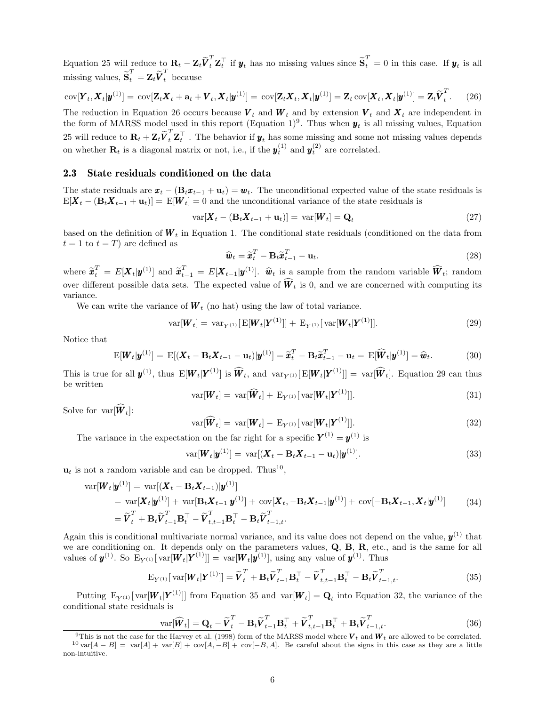Equation 25 will reduce to  $\mathbf{R}_t - \mathbf{Z}_t \widetilde{\boldsymbol{V}}_t^T \mathbf{Z}_t^\top$  if  $\boldsymbol{y}_t$  has no missing values since  $\widetilde{\mathbf{S}}_t^T = 0$  in this case. If  $\boldsymbol{y}_t$  is all missing values,  $\widetilde{\mathbf{S}}_t^T = \mathbf{Z}_t \widetilde{\boldsymbol{V}}_t^T$  because

$$
\text{cov}[\boldsymbol{Y}_t, \boldsymbol{X}_t | \boldsymbol{y}^{(1)}] = \text{cov}[\mathbf{Z}_t \boldsymbol{X}_t + \mathbf{a}_t + \boldsymbol{V}_t, \boldsymbol{X}_t | \boldsymbol{y}^{(1)}] = \text{cov}[\mathbf{Z}_t \boldsymbol{X}_t, \boldsymbol{X}_t | \boldsymbol{y}^{(1)}] = \mathbf{Z}_t \text{cov}[\boldsymbol{X}_t, \boldsymbol{X}_t | \boldsymbol{y}^{(1)}] = \mathbf{Z}_t \widetilde{\boldsymbol{V}}_t^T.
$$
 (26)

The reduction in Equation 26 occurs because  $V_t$  and  $W_t$  and by extension  $V_t$  and  $X_t$  are independent in the form of MARSS model used in this report (Equation 1)<sup>9</sup>. Thus when  $y_t$  is all missing values, Equation 25 will reduce to  $\mathbf{R}_t + \mathbf{Z}_t \widetilde{\boldsymbol{V}}_t^T \mathbf{Z}_t^\top$ . The behavior if  $\boldsymbol{y}_t$  has some missing and some not missing values depends on whether  $\mathbf{R}_t$  is a diagonal matrix or not, i.e., if the  $y_t^{(1)}$  and  $y_t^{(2)}$  are correlated.

### 2.3 State residuals conditioned on the data

The state residuals are  $\mathbf{x}_t - (\mathbf{B}_t \mathbf{x}_{t-1} + \mathbf{u}_t) = \mathbf{w}_t$ . The unconditional expected value of the state residuals is  $E[\mathbf{X}_t - (\mathbf{B}_t \mathbf{X}_{t-1} + \mathbf{u}_t)] = E[\mathbf{W}_t] = 0$  and the unconditional variance of the state residuals is

$$
\text{var}[\boldsymbol{X}_t - (\mathbf{B}_t \boldsymbol{X}_{t-1} + \mathbf{u}_t)] = \text{var}[\boldsymbol{W}_t] = \mathbf{Q}_t \tag{27}
$$

based on the definition of  $W_t$  in Equation 1. The conditional state residuals (conditioned on the data from  $t = 1$  to  $t = T$ ) are defined as

$$
\widehat{\boldsymbol{w}}_t = \widetilde{\boldsymbol{x}}_t^T - \mathbf{B}_t \widetilde{\boldsymbol{x}}_{t-1}^T - \mathbf{u}_t.
$$
\n(28)

where  $\widetilde{\boldsymbol{x}}_t^T = E[\boldsymbol{X}_t | \boldsymbol{y}^{(1)}]$  and  $\widetilde{\boldsymbol{x}}_{t-1}^T = E[\boldsymbol{X}_{t-1} | \boldsymbol{y}^{(1)}]$ .  $\widehat{\boldsymbol{w}}_t$  is a sample from the random variable  $\widehat{\boldsymbol{W}}_t$ ; random over different possible data sets. The expected value of  $\widehat{W}_t$  is 0, and we are concerned with computing its variance.

We can write the variance of  $W_t$  (no hat) using the law of total variance.

$$
var[\bm{W}_t] = var_{Y^{(1)}}[E[\bm{W}_t|\bm{Y}^{(1)}]] + E_{Y^{(1)}}[var[\bm{W}_t|\bm{Y}^{(1)}]].
$$
\n(29)

Notice that

$$
E[\boldsymbol{W}_t|\boldsymbol{y}^{(1)}] = E[(\boldsymbol{X}_t - \mathbf{B}_t\boldsymbol{X}_{t-1} - \mathbf{u}_t)|\boldsymbol{y}^{(1)}] = \widetilde{\boldsymbol{x}}_t^T - \mathbf{B}_t\widetilde{\boldsymbol{x}}_{t-1}^T - \mathbf{u}_t = E[\widehat{\boldsymbol{W}}_t|\boldsymbol{y}^{(1)}] = \widehat{\boldsymbol{w}}_t.
$$
\n(30)

This is true for all  $\mathbf{y}^{(1)}$ , thus  $\mathbb{E}[\mathbf{W}_t|\mathbf{Y}^{(1)}]$  is  $\widehat{\mathbf{W}}_t$ , and  $\text{var}_{\mathbf{Y}^{(1)}}[\mathbb{E}[\mathbf{W}_t|\mathbf{Y}^{(1)}]] = \text{var}[\widehat{\mathbf{W}}_t]$ . Equation 29 can thus be written

$$
\text{var}[\boldsymbol{W}_t] = \text{var}[\widehat{\boldsymbol{W}}_t] + \text{E}_{Y^{(1)}}[\text{var}[\boldsymbol{W}_t|\boldsymbol{Y}^{(1)}]]. \tag{31}
$$

Solve for  $var[\hat{\boldsymbol{W}}_t]$ :

$$
\text{var}[\widehat{\boldsymbol{W}}_t] = \text{var}[\boldsymbol{W}_t] - \text{E}_{Y^{(1)}}[\text{var}[\boldsymbol{W}_t|\boldsymbol{Y}^{(1)}]]. \tag{32}
$$

The variance in the expectation on the far right for a specific  $Y^{(1)} = y^{(1)}$  is

$$
\text{var}[\boldsymbol{W}_t|\boldsymbol{y}^{(1)}] = \text{var}[(\boldsymbol{X}_t - \mathbf{B}_t \boldsymbol{X}_{t-1} - \mathbf{u}_t)|\boldsymbol{y}^{(1)}]. \tag{33}
$$

 $\mathbf{u}_t$  is not a random variable and can be dropped. Thus<sup>10</sup>,

$$
\begin{split} \text{var}[\boldsymbol{W}_{t}|\boldsymbol{y}^{(1)}] &= \text{var}[(\boldsymbol{X}_{t} - \mathbf{B}_{t}\boldsymbol{X}_{t-1})|\boldsymbol{y}^{(1)}] \\ &= \text{var}[\boldsymbol{X}_{t}|\boldsymbol{y}^{(1)}] + \text{var}[\mathbf{B}_{t}\boldsymbol{X}_{t-1}|\boldsymbol{y}^{(1)}] + \text{cov}[\boldsymbol{X}_{t}, -\mathbf{B}_{t}\boldsymbol{X}_{t-1}|\boldsymbol{y}^{(1)}] + \text{cov}[-\mathbf{B}_{t}\boldsymbol{X}_{t-1}, \boldsymbol{X}_{t}|\boldsymbol{y}^{(1)}] \\ &= \widetilde{\boldsymbol{V}}_{t}^{T} + \mathbf{B}_{t}\widetilde{\boldsymbol{V}}_{t-1}^{T}\mathbf{B}_{t}^{\top} - \widetilde{\boldsymbol{V}}_{t,t-1}^{T}\mathbf{B}_{t}^{\top} - \mathbf{B}_{t}\widetilde{\boldsymbol{V}}_{t-1,t}^{T}.\end{split} \tag{34}
$$

Again this is conditional multivariate normal variance, and its value does not depend on the value,  $y^{(1)}$  that we are conditioning on. It depends only on the parameters values,  $Q$ ,  $B$ ,  $R$ , etc., and is the same for all values of  $y^{(1)}$ . So  $E_{Y^{(1)}}[\text{var}[W_t|Y^{(1)}]] = \text{var}[W_t|y^{(1)}]$ , using any value of  $y^{(1)}$ . Thus

$$
\mathbf{E}_{Y^{(1)}}[\text{var}[\boldsymbol{W}_t|\boldsymbol{Y}^{(1)}]] = \widetilde{\boldsymbol{V}}_t^T + \mathbf{B}_t \widetilde{\boldsymbol{V}}_{t-1}^T \mathbf{B}_t^\top - \widetilde{\boldsymbol{V}}_{t,t-1}^T \mathbf{B}_t^\top - \mathbf{B}_t \widetilde{\boldsymbol{V}}_{t-1,t}^T. \tag{35}
$$

Putting  $E_{Y^{(1)}}[\text{var}[W_t|Y^{(1)}]]$  from Equation 35 and  $\text{var}[W_t] = Q_t$  into Equation 32, the variance of the conditional state residuals is

$$
\text{var}[\widehat{\boldsymbol{W}}_t] = \mathbf{Q}_t - \widetilde{\boldsymbol{V}}_t^T - \mathbf{B}_t \widetilde{\boldsymbol{V}}_{t-1}^T \mathbf{B}_t^\top + \widetilde{\boldsymbol{V}}_{t,t-1}^T \mathbf{B}_t^\top + \mathbf{B}_t \widetilde{\boldsymbol{V}}_{t-1,t}^T. \tag{36}
$$

<sup>&</sup>lt;sup>9</sup>This is not the case for the Harvey et al. (1998) form of the MARSS model where  $V_t$  and  $W_t$  are allowed to be correlated.  $10 \text{ var}[A - B] = \text{var}[A] + \text{var}[B] + \text{cov}[A, -B] + \text{cov}[-B, A]$ . Be careful about the signs in this case as they are a little non-intuitive.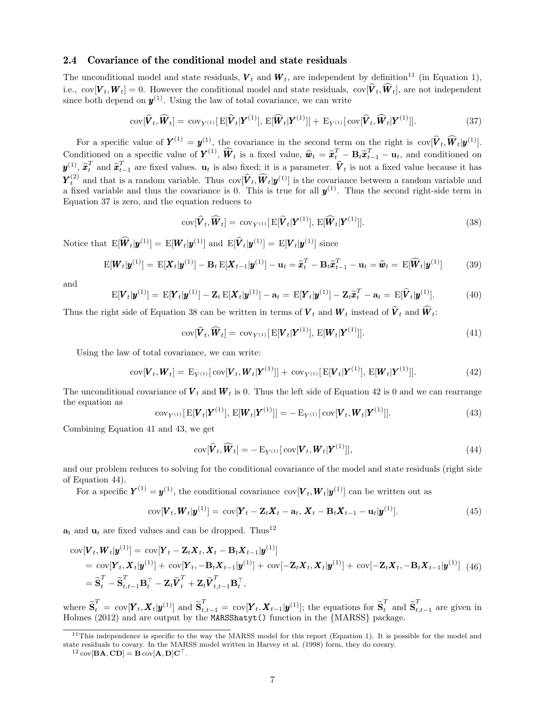### 2.4 Covariance of the conditional model and state residuals

The unconditional model and state residuals,  $V_t$  and  $W_t$ , are independent by definition<sup>11</sup> (in Equation 1), i.e.,  $\text{cov}[\boldsymbol{V}_t, \boldsymbol{W}_t] = 0$ . However the conditional model and state residuals,  $\text{cov}[\boldsymbol{V}_t, \boldsymbol{W}_t]$ , are not independent since both depend on  $y^{(1)}$ . Using the law of total covariance, we can write

$$
\text{cov}[\widehat{\boldsymbol{V}}_t, \widehat{\boldsymbol{W}}_t] = \text{cov}_{Y^{(1)}}[\text{E}[\widehat{\boldsymbol{V}}_t|\boldsymbol{Y}^{(1)}], \text{E}[\widehat{\boldsymbol{W}}_t|\boldsymbol{Y}^{(1)}]] + \text{E}_{Y^{(1)}}[\text{cov}[\widehat{\boldsymbol{V}}_t, \widehat{\boldsymbol{W}}_t|\boldsymbol{Y}^{(1)}]].
$$
\n(37)

For a specific value of  $\boldsymbol{Y}^{(1)} = \boldsymbol{y}^{(1)}$ , the covariance in the second term on the right is  $\text{cov}[\hat{\boldsymbol{V}}_t, \hat{\boldsymbol{W}}_t | \boldsymbol{y}^{(1)}].$ Conditioned on a specific value of  $\mathbf{Y}^{(1)}$ ,  $\widehat{\mathbf{W}}_t$  is a fixed value,  $\widehat{\mathbf{w}}_t = \widetilde{\mathbf{x}}_t^T - \mathbf{B}_t \widetilde{\mathbf{x}}_{t-1}^T - \mathbf{u}_t$ , and conditioned on  $\widehat{\mathbf{W}}_t = \widehat{\mathbf{x}}_t^T - \mathbf{B}_t \widetilde{\mathbf{x}}_t^T - \mathbf{u}_t^T$  $y^{(1)}$ ,  $\tilde{x}_t^T$  and  $\tilde{x}_{t-1}^T$  are fixed values.  $\mathbf{u}_t$  is also fixed; it is a parameter.  $\hat{V}_t$  is not a fixed value because it has  $\mathbf{Y}_t^{(2)}$  and that is a random variable. Thus  $\text{cov}[\hat{\mathbf{V}}_t, \hat{\mathbf{W}}_t | \mathbf{y}^{(1)}]$  is the covariance between a random variable and a fixed variable and thus the covariance is 0. This is true for all  $y^{(1)}$ . Thus the second right-side term in Equation 37 is zero, and the equation reduces to

$$
cov[\widehat{\boldsymbol{V}}_t, \widehat{\boldsymbol{W}}_t] = cov_{Y^{(1)}}[\,\mathbf{E}[\widehat{\boldsymbol{V}}_t|\boldsymbol{Y}^{(1)}],\,\mathbf{E}[\widehat{\boldsymbol{W}}_t|\boldsymbol{Y}^{(1)}]].
$$
\n(38)

Notice that  $\text{E}[\hat{\boldsymbol{W}}_t|\boldsymbol{y}^{(1)}] = \text{E}[\boldsymbol{W}_t|\boldsymbol{y}^{(1)}]$  and  $\text{E}[\hat{\boldsymbol{V}}_t|\boldsymbol{y}^{(1)}] = \text{E}[\boldsymbol{V}_t|\boldsymbol{y}^{(1)}]$  since

$$
\mathbf{E}[\boldsymbol{W}_t|\boldsymbol{y}^{(1)}] = \mathbf{E}[\boldsymbol{X}_t|\boldsymbol{y}^{(1)}] - \mathbf{B}_t \mathbf{E}[\boldsymbol{X}_{t-1}|\boldsymbol{y}^{(1)}] - \mathbf{u}_t = \widetilde{\boldsymbol{x}}_t^T - \mathbf{B}_t \widetilde{\boldsymbol{x}}_{t-1}^T - \mathbf{u}_t = \widehat{\boldsymbol{w}}_t = \mathbf{E}[\widehat{\boldsymbol{W}}_t|\boldsymbol{y}^{(1)}] \tag{39}
$$

and

$$
\mathbf{E}[\boldsymbol{V}_t|\boldsymbol{y}^{(1)}] = \mathbf{E}[\boldsymbol{Y}_t|\boldsymbol{y}^{(1)}] - \mathbf{Z}_t \mathbf{E}[\boldsymbol{X}_t|\boldsymbol{y}^{(1)}] - \mathbf{a}_t = \mathbf{E}[\boldsymbol{Y}_t|\boldsymbol{y}^{(1)}] - \mathbf{Z}_t \widetilde{\boldsymbol{x}}_t^T - \mathbf{a}_t = \mathbf{E}[\widehat{\boldsymbol{V}}_t|\boldsymbol{y}^{(1)}].
$$
\n(40)

Thus the right side of Equation 38 can be written in terms of  $V_t$  and  $W_t$  instead of  $V_t$  and  $W_t$ :

$$
cov[\widehat{\boldsymbol{V}}_t, \widehat{\boldsymbol{W}}_t] = cov_{Y^{(1)}}[\,\mathbf{E}[\boldsymbol{V}_t|\boldsymbol{Y}^{(1)}],\,\mathbf{E}[\boldsymbol{W}_t|\boldsymbol{Y}^{(1)}]]. \tag{41}
$$

Using the law of total covariance, we can write:

cov
$$
[\bm{V}_t, \bm{W}_t] = \mathbf{E}_{Y^{(1)}}[\text{cov}[\bm{V}_t, \bm{W}_t|\bm{Y}^{(1)}]] + \text{cov}_{Y^{(1)}}[\mathbf{E}[\bm{V}_t|\bm{Y}^{(1)}], \mathbf{E}[\bm{W}_t|\bm{Y}^{(1)}]].
$$
 (42)

The unconditional covariance of  $V_t$  and  $W_t$  is 0. Thus the left side of Equation 42 is 0 and we can rearrange the equation as

$$
cov_{Y^{(1)}}[E[\bm{V}_t|\bm{Y}^{(1)}], E[\bm{W}_t|\bm{Y}^{(1)}]] = -E_{Y^{(1)}}[cov[\bm{V}_t,\bm{W}_t|\bm{Y}^{(1)}]].
$$
\n(43)

Combining Equation 41 and 43, we get

$$
cov[\widehat{\boldsymbol{V}}_t, \widehat{\boldsymbol{W}}_t] = -\mathbf{E}_{Y^{(1)}}[\,cov[\boldsymbol{V}_t, \boldsymbol{W}_t|\boldsymbol{Y}^{(1)}]],\tag{44}
$$

and our problem reduces to solving for the conditional covariance of the model and state residuals (right side of Equation 44).

For a specific  $Y^{(1)} = y^{(1)}$ , the conditional covariance  $\text{cov}[V_t, W_t|y^{(1)}]$  can be written out as

$$
cov[\boldsymbol{V}_t, \boldsymbol{W}_t | \boldsymbol{y}^{(1)}] = cov[\boldsymbol{Y}_t - \boldsymbol{Z}_t \boldsymbol{X}_t - \mathbf{a}_t, \boldsymbol{X}_t - \mathbf{B}_t \boldsymbol{X}_{t-1} - \mathbf{u}_t | \boldsymbol{y}^{(1)}].
$$
\n(45)

 $a_t$  and  $u_t$  are fixed values and can be dropped. Thus<sup>12</sup>

$$
\begin{split} \text{cov}[\boldsymbol{V}_{t}, \boldsymbol{W}_{t} | \boldsymbol{y}^{(1)}] &= \text{cov}[\boldsymbol{Y}_{t} - \mathbf{Z}_{t} \boldsymbol{X}_{t}, \boldsymbol{X}_{t} - \mathbf{B}_{t} \boldsymbol{X}_{t-1} | \boldsymbol{y}^{(1)}] \\ &= \text{cov}[\boldsymbol{Y}_{t}, \boldsymbol{X}_{t} | \boldsymbol{y}^{(1)}] + \text{cov}[\boldsymbol{Y}_{t}, -\mathbf{B}_{t} \boldsymbol{X}_{t-1} | \boldsymbol{y}^{(1)}] + \text{cov}[-\mathbf{Z}_{t} \boldsymbol{X}_{t}, \boldsymbol{X}_{t} | \boldsymbol{y}^{(1)}] + \text{cov}[-\mathbf{Z}_{t} \boldsymbol{X}_{t}, -\mathbf{B}_{t} \boldsymbol{X}_{t-1} | \boldsymbol{y}^{(1)}] \end{split} \tag{46}
$$
\n
$$
= \widetilde{\mathbf{S}}_{t}^{T} - \widetilde{\mathbf{S}}_{t, t-1}^{T} \mathbf{B}_{t}^{T} - \mathbf{Z}_{t} \widetilde{\boldsymbol{V}}_{t}^{T} + \mathbf{Z}_{t} \widetilde{\boldsymbol{V}}_{t, t-1}^{T} \mathbf{B}_{t}^{T},
$$

where  $\widetilde{\mathbf{S}}_t^T = \text{cov}[\mathbf{Y}_t, \mathbf{X}_t | \mathbf{y}^{(1)}]$  and  $\widetilde{\mathbf{S}}_{t,t-1}^T = \text{cov}[\mathbf{Y}_t, \mathbf{X}_{t-1} | \mathbf{y}^{(1)}]$ ; the equations for  $\widetilde{\mathbf{S}}_t^T$  and  $\widetilde{\mathbf{S}}_{t,t-1}^T$  are given in Holmes (2012) and are output by the MARSShatyt() function in the {MARSS} package.

 $12 \text{ cov}[\mathbf{BA}, \mathbf{CD}] = \mathbf{B} \text{ cov}[\mathbf{A}, \mathbf{D}] \mathbf{C}^\top.$ 

 $11$ This independence is specific to the way the MARSS model for this report (Equation 1). It is possible for the model and state residuals to covary. In the MARSS model written in Harvey et al. (1998) form, they do covary.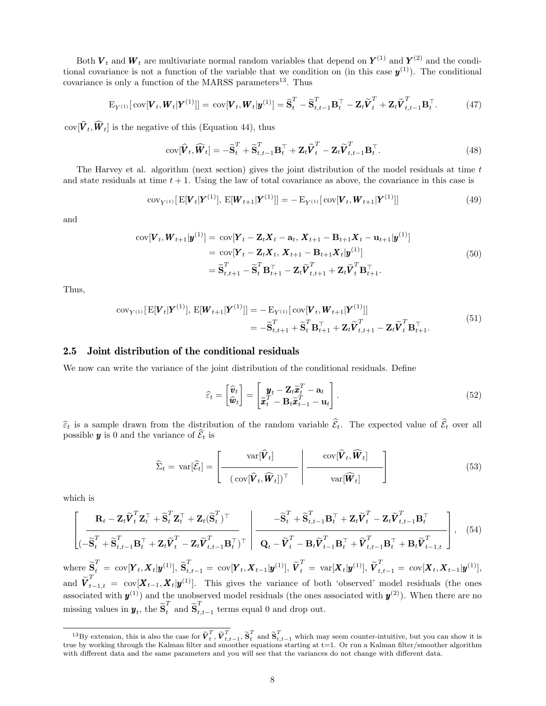Both  $V_t$  and  $W_t$  are multivariate normal random variables that depend on  $Y^{(1)}$  and  $Y^{(2)}$  and the conditional covariance is not a function of the variable that we condition on (in this case  $y^{(1)}$ ). The conditional covariance is only a function of the MARSS parameters<sup>13</sup>. Thus

$$
\mathbf{E}_{Y^{(1)}}[\text{cov}[\boldsymbol{V}_t, \boldsymbol{W}_t | \boldsymbol{Y}^{(1)}]] = \text{cov}[\boldsymbol{V}_t, \boldsymbol{W}_t | \boldsymbol{y}^{(1)}] = \widetilde{\mathbf{S}}_t^T - \widetilde{\mathbf{S}}_{t,t-1}^T \mathbf{B}_t^\top - \mathbf{Z}_t \widetilde{\boldsymbol{V}}_t^T + \mathbf{Z}_t \widetilde{\boldsymbol{V}}_{t,t-1}^T \mathbf{B}_t^\top. \tag{47}
$$

 $cov[\boldsymbol{V}_t, \boldsymbol{W}_t]$  is the negative of this (Equation 44), thus

$$
cov[\widehat{\boldsymbol{V}}_t, \widehat{\boldsymbol{W}}_t] = -\widetilde{\mathbf{S}}_t^T + \widetilde{\mathbf{S}}_{t,t-1}^T \mathbf{B}_t^\top + \mathbf{Z}_t \widetilde{\boldsymbol{V}}_t^T - \mathbf{Z}_t \widetilde{\boldsymbol{V}}_{t,t-1}^T \mathbf{B}_t^\top.
$$
\n(48)

The Harvey et al. algorithm (next section) gives the joint distribution of the model residuals at time  $t$ and state residuals at time  $t + 1$ . Using the law of total covariance as above, the covariance in this case is

$$
cov_{Y^{(1)}}[E[\boldsymbol{V}_t|\boldsymbol{Y}^{(1)}], E[\boldsymbol{W}_{t+1}|\boldsymbol{Y}^{(1)}]] = -E_{Y^{(1)}}[cov[\boldsymbol{V}_t,\boldsymbol{W}_{t+1}|\boldsymbol{Y}^{(1)}]] \qquad (49)
$$

and

$$
\text{cov}[\boldsymbol{V}_{t}, \boldsymbol{W}_{t+1} | \boldsymbol{y}^{(1)}] = \text{cov}[\boldsymbol{Y}_{t} - \mathbf{Z}_{t} \boldsymbol{X}_{t} - \mathbf{a}_{t}, \boldsymbol{X}_{t+1} - \mathbf{B}_{t+1} \boldsymbol{X}_{t} - \mathbf{u}_{t+1} | \boldsymbol{y}^{(1)}]
$$
\n
$$
= \text{cov}[\boldsymbol{Y}_{t} - \mathbf{Z}_{t} \boldsymbol{X}_{t}, \boldsymbol{X}_{t+1} - \mathbf{B}_{t+1} \boldsymbol{X}_{t} | \boldsymbol{y}^{(1)}]
$$
\n
$$
= \widetilde{\mathbf{S}}_{t,t+1}^{T} - \widetilde{\mathbf{S}}_{t}^{T} \mathbf{B}_{t+1}^{T} - \mathbf{Z}_{t} \widetilde{\boldsymbol{V}}_{t,t+1}^{T} + \mathbf{Z}_{t} \widetilde{\boldsymbol{V}}_{t}^{T} \mathbf{B}_{t+1}^{T}.
$$
\n(50)

Thus,

$$
cov_{Y^{(1)}}[E[\mathbf{V}_t|\mathbf{Y}^{(1)}], E[\mathbf{W}_{t+1}|\mathbf{Y}^{(1)}]] = -E_{Y^{(1)}}[cov[\mathbf{V}_t, \mathbf{W}_{t+1}|\mathbf{Y}^{(1)}]]= -\widetilde{\mathbf{S}}_{t,t+1}^T + \widetilde{\mathbf{S}}_t^T \mathbf{B}_{t+1}^\top + \mathbf{Z}_t \widetilde{\mathbf{V}}_{t,t+1}^T - \mathbf{Z}_t \widetilde{\mathbf{V}}_t^T \mathbf{B}_{t+1}^\top.
$$
\n(51)

### 2.5 Joint distribution of the conditional residuals

We now can write the variance of the joint distribution of the conditional residuals. Define

$$
\widehat{\varepsilon}_t = \begin{bmatrix} \widehat{\boldsymbol{v}}_t \\ \widehat{\boldsymbol{w}}_t \end{bmatrix} = \begin{bmatrix} \boldsymbol{y}_t - \mathbf{Z}_t \widetilde{\boldsymbol{x}}_t^T - \mathbf{a}_t \\ \widetilde{\boldsymbol{x}}_t^T - \mathbf{B}_t \widetilde{\boldsymbol{x}}_{t-1}^T - \mathbf{u}_t \end{bmatrix} .
$$
\n(52)

 $\hat{\epsilon}_t$  is a sample drawn from the distribution of the random variable  $\hat{\epsilon}_t$ . The expected value of  $\hat{\epsilon}_t$  over all possible **y** is 0 and the variance of  $\widehat{\mathcal{E}}_t$  is

$$
\widehat{\Sigma}_t = \text{var}[\widehat{\mathcal{E}}_t] = \left[\frac{\text{var}[\widehat{\boldsymbol{V}}_t]}{(\text{cov}[\widehat{\boldsymbol{V}}_t, \widehat{\boldsymbol{W}}_t])^\top}\middle|\frac{\text{cov}[\widehat{\boldsymbol{V}}_t, \widehat{\boldsymbol{W}}_t]}{\text{var}[\widehat{\boldsymbol{W}}_t]}\right]
$$
\n(53)

which is

$$
\left[\frac{\mathbf{R}_{t} - \mathbf{Z}_{t}\widetilde{\mathbf{V}}_{t}^{T}\mathbf{Z}_{t}^{\top} + \widetilde{\mathbf{S}}_{t}^{T}\mathbf{Z}_{t}^{\top} + \mathbf{Z}_{t}(\widetilde{\mathbf{S}}_{t}^{T})^{\top}}{\left(-\widetilde{\mathbf{S}}_{t}^{T} + \widetilde{\mathbf{S}}_{t,t-1}^{T}\mathbf{B}_{t}^{\top} + \mathbf{Z}_{t}\widetilde{\mathbf{V}}_{t}^{T} - \mathbf{Z}_{t}\widetilde{\mathbf{V}}_{t,t-1}^{T}\mathbf{B}_{t}^{\top}\right)}\right] - \frac{-\widetilde{\mathbf{S}}_{t}^{T} + \widetilde{\mathbf{S}}_{t,t-1}^{T}\mathbf{B}_{t}^{\top} + \mathbf{Z}_{t}\widetilde{\mathbf{V}}_{t}^{T} - \mathbf{Z}_{t}\widetilde{\mathbf{V}}_{t,t-1}^{T}\mathbf{B}_{t}^{\top}}{\mathbf{Q}_{t} - \widetilde{\mathbf{V}}_{t}^{T} - \mathbf{B}_{t}\widetilde{\mathbf{V}}_{t-1}^{T}\mathbf{B}_{t}^{\top} + \widetilde{\mathbf{V}}_{t,t-1}^{T}\mathbf{B}_{t}^{\top} + \mathbf{B}_{t}\widetilde{\mathbf{V}}_{t-1,t}^{T}\right], \quad (54)
$$

 $\text{where } \widetilde{\textbf{S}}_t^T = \text{ cov}[\boldsymbol{Y}_t, \boldsymbol{X}_t | \boldsymbol{y}^{(1)}], \, \widetilde{\textbf{S}}_{t,t-1}^T = \text{ cov}[\boldsymbol{Y}_t, \boldsymbol{X}_{t-1} | \boldsymbol{y}^{(1)}], \, \widetilde{\boldsymbol{V}}_t^T = \text{ var}[\boldsymbol{X}_t | \boldsymbol{y}^{(1)}], \, \widetilde{\boldsymbol{V}}_{t,t-1}^T = \text{ cov}[\boldsymbol{X}_t, \boldsymbol{X}_{t-1} | \boldsymbol{y}^{(1)}],$ and  $\widetilde{V}_{t-1,t}^T = \text{cov}[X_{t-1}, X_t | y^{(1)}].$  This gives the variance of both 'observed' model residuals (the ones associated with  $y^{(1)}$  and the unobserved model residuals (the ones associated with  $y^{(2)}$ ). When there are no missing values in  $\mathbf{y}_t$ , the  $\widetilde{\mathbf{S}}_t^T$  and  $\widetilde{\mathbf{S}}_t^T$  $t_{t,t-1}$  terms equal 0 and drop out.

<sup>&</sup>lt;sup>13</sup>By extension, this is also the case for  $\tilde{V}_t^T$ ,  $\tilde{V}_{t,t-1}^T$ ,  $\tilde{S}_t^T$  and  $\tilde{S}_{t,t-1}^T$  which may seem counter-intuitive, but you can show it is true by working through the Kalman filter and smoother equ with different data and the same parameters and you will see that the variances do not change with different data.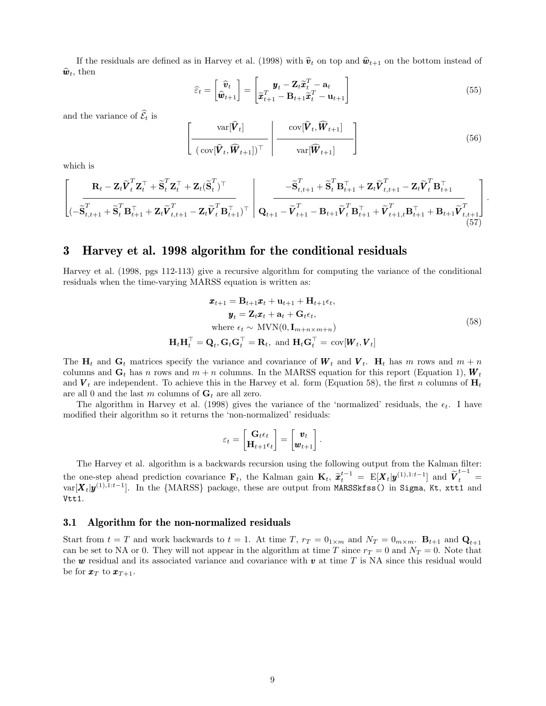If the residuals are defined as in Harvey et al. (1998) with  $\hat{v}_t$  on top and  $\hat{w}_{t+1}$  on the bottom instead of  $\hat{\boldsymbol{w}}_t$ , then

$$
\widehat{\varepsilon}_t = \begin{bmatrix} \widehat{\boldsymbol{v}}_t \\ \widehat{\boldsymbol{w}}_{t+1} \end{bmatrix} = \begin{bmatrix} \boldsymbol{y}_t - \mathbf{Z}_t \widetilde{\boldsymbol{x}}_t^T - \mathbf{a}_t \\ \widetilde{\boldsymbol{x}}_{t+1}^T - \mathbf{B}_{t+1} \widetilde{\boldsymbol{x}}_t^T - \mathbf{u}_{t+1} \end{bmatrix}
$$
(55)

and the variance of  $\widehat{\mathcal{E}}_t$  is

$$
\left[\frac{\text{var}[\hat{\boldsymbol{V}}_t]}{(\text{cov}[\hat{\boldsymbol{V}}_t, \widehat{\boldsymbol{W}}_{t+1}])^{\top}} \middle| \frac{\text{cov}[\hat{\boldsymbol{V}}_t, \widehat{\boldsymbol{W}}_{t+1}]}{\text{var}[\widehat{\boldsymbol{W}}_{t+1}]} \right]
$$
(56)

which is

$$
\left[\frac{\mathbf{R}_{t}-\mathbf{Z}_{t}\widetilde{\mathbf{V}}_{t}^{T}\mathbf{Z}_{t}^{\top}+\widetilde{\mathbf{S}}_{t}^{T}\mathbf{Z}_{t}^{\top}+\mathbf{Z}_{t}(\widetilde{\mathbf{S}}_{t}^{T})^{\top}}{\left(-\widetilde{\mathbf{S}}_{t,t+1}^{T}+\widetilde{\mathbf{S}}_{t}^{T}\mathbf{B}_{t+1}^{\top}+\mathbf{Z}_{t}\widetilde{\mathbf{V}}_{t,t+1}^{T}-\mathbf{Z}_{t}\widetilde{\mathbf{V}}_{t}^{T}\mathbf{B}_{t+1}^{\top}\right)}\right]\n\left[\frac{-\widetilde{\mathbf{S}}_{t,t+1}^{T}+\widetilde{\mathbf{S}}_{t}^{T}\mathbf{B}_{t+1}^{\top}+\mathbf{Z}_{t}\widetilde{\mathbf{V}}_{t,t+1}^{T}-\mathbf{Z}_{t}\widetilde{\mathbf{V}}_{t}^{T}\mathbf{B}_{t+1}^{\top}}{\mathbf{Q}_{t+1}^{T}-\widetilde{\mathbf{V}}_{t+1}^{T}-\mathbf{B}_{t+1}\widetilde{\mathbf{V}}_{t}^{T}\mathbf{B}_{t+1}^{\top}+\widetilde{\mathbf{V}}_{t+1,t}^{T}\mathbf{B}_{t+1}^{\top}+\mathbf{B}_{t+1}\widetilde{\mathbf{V}}_{t,t+1}^{T}}\right]\n\left[\n\begin{array}{c}\n\mathbf{S}_{t}^{T} & \mathbf{S}_{t}^{T} & \mathbf{S}_{t}^{T} & \mathbf{S}_{t}^{T} & \mathbf{S}_{t}^{T} & \mathbf{S}_{t}^{T} & \mathbf{S}_{t}^{T} & \mathbf{S}_{t}^{T} & \mathbf{S}_{t}^{T} & \mathbf{S}_{t}^{T} & \mathbf{S}_{t}^{T} & \mathbf{S}_{t}^{T} & \mathbf{S}_{t}^{T} & \mathbf{S}_{t}^{T} & \mathbf{S}_{t}^{T} & \mathbf{S}_{t}^{T} & \mathbf{S}_{t}^{T} & \mathbf{S}_{t}^{T} & \mathbf{S}_{t}^{T} & \mathbf{S}_{t}^{T} & \mathbf{S}_{t}^{T} & \mathbf{S}_{t}^{T} & \mathbf{S}_{t}^{T} & \mathbf{
$$

### 3 Harvey et al. 1998 algorithm for the conditional residuals

Harvey et al. (1998, pgs 112-113) give a recursive algorithm for computing the variance of the conditional residuals when the time-varying MARSS equation is written as:

$$
\mathbf{x}_{t+1} = \mathbf{B}_{t+1}\mathbf{x}_t + \mathbf{u}_{t+1} + \mathbf{H}_{t+1}\epsilon_t, \n\mathbf{y}_t = \mathbf{Z}_t\mathbf{x}_t + \mathbf{a}_t + \mathbf{G}_t\epsilon_t, \n\text{where } \epsilon_t \sim \text{MVN}(0, \mathbf{I}_{m+n \times m+n}) \n\mathbf{H}_t\mathbf{H}_t^\top = \mathbf{Q}_t, \mathbf{G}_t\mathbf{G}_t^\top = \mathbf{R}_t, \text{ and } \mathbf{H}_t\mathbf{G}_t^\top = \text{cov}[\mathbf{W}_t, \mathbf{V}_t]
$$
\n(58)

The  $H_t$  and  $G_t$  matrices specify the variance and covariance of  $W_t$  and  $V_t$ .  $H_t$  has m rows and  $m + n$ columns and  $G_t$  has n rows and  $m + n$  columns. In the MARSS equation for this report (Equation 1),  $W_t$ and  $V_t$  are independent. To achieve this in the Harvey et al. form (Equation 58), the first n columns of  $H_t$ are all 0 and the last m columns of  $G_t$  are all zero.

The algorithm in Harvey et al. (1998) gives the variance of the 'normalized' residuals, the  $\epsilon_t$ . I have modified their algorithm so it returns the 'non-normalized' residuals:

$$
\varepsilon_t = \begin{bmatrix} \mathbf{G}_t \epsilon_t \\ \mathbf{H}_{t+1} \epsilon_t \end{bmatrix} = \begin{bmatrix} \mathbf{v}_t \\ \mathbf{w}_{t+1} \end{bmatrix}.
$$

The Harvey et al. algorithm is a backwards recursion using the following output from the Kalman filter: the one-step ahead prediction covariance  $\mathbf{F}_t$ , the Kalman gain  $\mathbf{K}_t$ ,  $\tilde{\boldsymbol{x}}_t^{t-1} = \mathbf{E}[\boldsymbol{X}_t | \boldsymbol{y}^{(1),1:t-1}]$  and  $\tilde{\boldsymbol{V}}_t^{t-1} =$ <br>the  $\mathbf{W}^{(1),1:t-1}$  is the  $(\mathbf{M} \Delta \mathbf{P} \mathbf{S}^c)$  package these a  $\text{var}[\bm{X}_t|\bm{y}^{(1),1:t-1}].$  In the {MARSS} package, these are output from <code>MARSSkfss()</code> in Sigma, Kt, xtt1 and Vtt1.

#### 3.1 Algorithm for the non-normalized residuals

Start from  $t = T$  and work backwards to  $t = 1$ . At time T,  $r_T = 0_{1 \times m}$  and  $N_T = 0_{m \times m}$ .  $B_{t+1}$  and  $Q_{t+1}$ can be set to NA or 0. They will not appear in the algorithm at time T since  $r_T = 0$  and  $N_T = 0$ . Note that the  $w$  residual and its associated variance and covariance with  $v$  at time T is NA since this residual would be for  $x_T$  to  $x_{T+1}$ .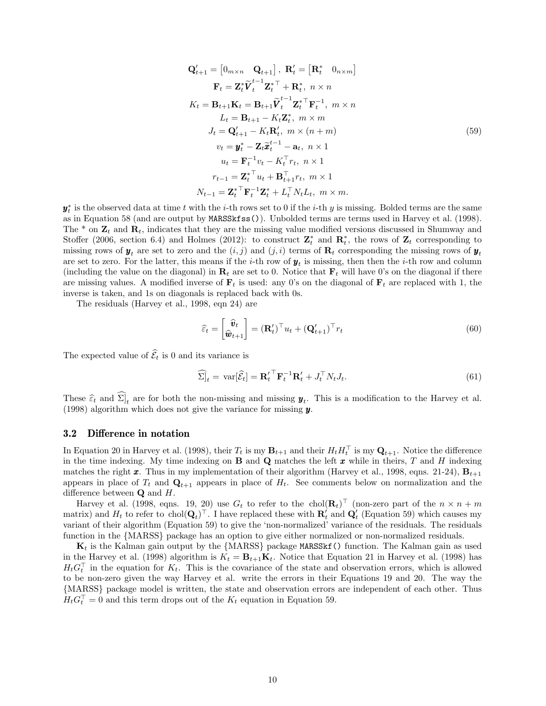$$
\mathbf{Q}'_{t+1} = \begin{bmatrix} 0_{m \times n} & \mathbf{Q}_{t+1} \end{bmatrix}, \ \mathbf{R}'_{t} = \begin{bmatrix} \mathbf{R}^{*}_{t} & 0_{n \times m} \end{bmatrix}
$$
\n
$$
\mathbf{F}_{t} = \mathbf{Z}_{t}^{*} \widetilde{\mathbf{V}}_{t}^{t-1} \mathbf{Z}_{t}^{*} + \mathbf{R}_{t}^{*}, \ n \times n
$$
\n
$$
K_{t} = \mathbf{B}_{t+1} \mathbf{K}_{t} = \mathbf{B}_{t+1} \widetilde{\mathbf{V}}_{t}^{t-1} \mathbf{Z}_{t}^{*} \mathbf{F}_{t}^{-1}, \ m \times n
$$
\n
$$
L_{t} = \mathbf{B}_{t+1} - K_{t} \mathbf{Z}_{t}^{*}, \ m \times m
$$
\n
$$
J_{t} = \mathbf{Q}'_{t+1} - K_{t} \mathbf{R}'_{t}, \ m \times (n+m)
$$
\n
$$
v_{t} = \mathbf{y}_{t}^{*} - \mathbf{Z}_{t} \widetilde{\mathbf{x}}_{t}^{t-1} - \mathbf{a}_{t}, \ n \times 1
$$
\n
$$
u_{t} = \mathbf{F}_{t}^{-1} v_{t} - K_{t}^{\top} r_{t}, \ n \times 1
$$
\n
$$
r_{t-1} = \mathbf{Z}_{t}^{*} \mathbf{V}_{t} + \mathbf{B}_{t+1}^{\top} r_{t}, \ m \times 1
$$
\n
$$
N_{t-1} = \mathbf{Z}_{t}^{*} \mathbf{F}_{t}^{-1} \mathbf{Z}_{t}^{*} + L_{t}^{\top} N_{t} L_{t}, \ m \times m.
$$
\n(59)

 $y_t^*$  is the observed data at time t with the i-th rows set to 0 if the i-th y is missing. Bolded terms are the same as in Equation 58 (and are output by MARSSkfss()). Unbolded terms are terms used in Harvey et al. (1998). The  $*$  on  $\mathbf{Z}_t$  and  $\mathbf{R}_t$ , indicates that they are the missing value modified versions discussed in Shumway and Stoffer (2006, section 6.4) and Holmes (2012): to construct  $\mathbf{Z}_t^*$  and  $\mathbf{R}_t^*$ , the rows of  $\mathbf{Z}_t$  corresponding to missing rows of  $y_t$  are set to zero and the  $(i, j)$  and  $(j, i)$  terms of  $\mathbf{R}_t$  corresponding the missing rows of  $y_t$ are set to zero. For the latter, this means if the *i*-th row of  $y_t$  is missing, then then the *i*-th row and column (including the value on the diagonal) in  $\mathbf{R}_t$  are set to 0. Notice that  $\mathbf{F}_t$  will have 0's on the diagonal if there are missing values. A modified inverse of  $\mathbf{F}_t$  is used: any 0's on the diagonal of  $\mathbf{F}_t$  are replaced with 1, the inverse is taken, and 1s on diagonals is replaced back with 0s.

The residuals (Harvey et al., 1998, eqn 24) are

$$
\widehat{\varepsilon}_t = \begin{bmatrix} \widehat{\boldsymbol{v}}_t \\ \widehat{\boldsymbol{w}}_{t+1} \end{bmatrix} = (\mathbf{R}'_t)^{\top} u_t + (\mathbf{Q}'_{t+1})^{\top} r_t
$$
\n(60)

The expected value of  $\widehat{\mathcal{E}}_t$  is 0 and its variance is

$$
\widehat{\Sigma}|_{t} = \text{var}[\widehat{\mathcal{E}}_{t}] = {\mathbf{R}_{t}'}^{\top} \mathbf{F}_{t}^{-1} {\mathbf{R}_{t}'} + J_{t}^{\top} N_{t} J_{t}.
$$
\n(61)

These  $\hat{\epsilon}_t$  and  $\Sigma_t$  are for both the non-missing and missing  $y_t$ . This is a modification to the Harvey et al.<br>(1998) electric which does not give the verience for missing  $u$ . (1998) algorithm which does not give the variance for missing  $y$ .

### 3.2 Difference in notation

In Equation 20 in Harvey et al. (1998), their  $T_t$  is my  $\mathbf{B}_{t+1}$  and their  $H_t H_t^\top$  is my  $\mathbf{Q}_{t+1}$ . Notice the difference in the time indexing. My time indexing on **B** and **Q** matches the left  $\boldsymbol{x}$  while in theirs, T and H indexing matches the right x. Thus in my implementation of their algorithm (Harvey et al., 1998, eqns. 21-24),  $\mathbf{B}_{t+1}$ appears in place of  $T_t$  and  $\mathbf{Q}_{t+1}$  appears in place of  $H_t$ . See comments below on normalization and the difference between  $\mathbf Q$  and  $H$ .

Harvey et al. (1998, eqns. 19, 20) use  $G_t$  to refer to the chol $(\mathbf{R}_t)$ <sup> $\top$ </sup> (non-zero part of the  $n \times n + m$ matrix) and  $H_t$  to refer to chol $(\mathbf{Q}_t)^\top$ . I have replaced these with  $\mathbf{R}'_t$  and  $\mathbf{Q}'_t$  (Equation 59) which causes my variant of their algorithm (Equation 59) to give the 'non-normalized' variance of the residuals. The residuals function in the {MARSS} package has an option to give either normalized or non-normalized residuals.

 $\mathbf{K}_t$  is the Kalman gain output by the {MARSS} package MARSS t () function. The Kalman gain as used in the Harvey et al. (1998) algorithm is  $K_t = \mathbf{B}_{t+1}\mathbf{K}_t$ . Notice that Equation 21 in Harvey et al. (1998) has  $H_t G_t^{\top}$  in the equation for  $K_t$ . This is the covariance of the state and observation errors, which is allowed to be non-zero given the way Harvey et al. write the errors in their Equations 19 and 20. The way the {MARSS} package model is written, the state and observation errors are independent of each other. Thus  $H_t G_t^{\top} = 0$  and this term drops out of the  $K_t$  equation in Equation 59.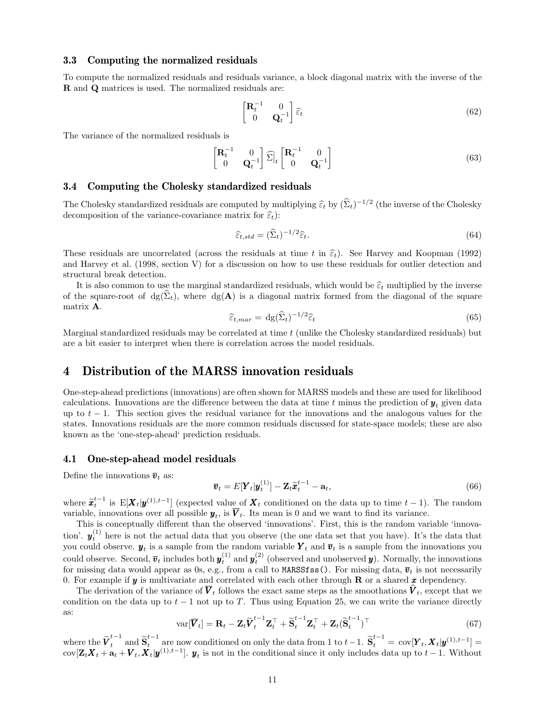### 3.3 Computing the normalized residuals

To compute the normalized residuals and residuals variance, a block diagonal matrix with the inverse of the R and Q matrices is used. The normalized residuals are:

$$
\begin{bmatrix} \mathbf{R}_t^{-1} & 0\\ 0 & \mathbf{Q}_t^{-1} \end{bmatrix} \hat{\varepsilon}_t
$$
 (62)

The variance of the normalized residuals is

$$
\begin{bmatrix} \mathbf{R}_t^{-1} & 0\\ 0 & \mathbf{Q}_t^{-1} \end{bmatrix} \widehat{\boldsymbol{\Sigma}}_t \begin{bmatrix} \mathbf{R}_t^{-1} & 0\\ 0 & \mathbf{Q}_t^{-1} \end{bmatrix}
$$
 (63)

### 3.4 Computing the Cholesky standardized residuals

The Cholesky standardized residuals are computed by multiplying  $\hat{\epsilon}_t$  by  $(\hat{\Sigma}_t)^{-1/2}$  (the inverse of the Cholesky decomposition of the variance covariance matrix for  $\hat{\epsilon}_t$ ). decomposition of the variance-covariance matrix for  $\hat{\varepsilon}_t$ :

$$
\widehat{\varepsilon}_{t, std} = (\widehat{\Sigma}_t)^{-1/2} \widehat{\varepsilon}_t. \tag{64}
$$

These residuals are uncorrelated (across the residuals at time t in  $\hat{\epsilon}_t$ ). See Harvey and Koopman (1992) and Harvey et al. (1998, section V) for a discussion on how to use these residuals for outlier detection and structural break detection.

It is also common to use the marginal standardized residuals, which would be  $\hat{\epsilon}_t$  multiplied by the inverse of the square-root of  $dg(\hat{\Sigma}_t)$ , where  $dg(\mathbf{A})$  is a diagonal matrix formed from the diagonal of the square matrix A.

$$
\widehat{\varepsilon}_{t,max} = \mathrm{dg}(\widehat{\Sigma}_t)^{-1/2} \widehat{\varepsilon}_t \tag{65}
$$

Marginal standardized residuals may be correlated at time  $t$  (unlike the Cholesky standardized residuals) but are a bit easier to interpret when there is correlation across the model residuals.

## 4 Distribution of the MARSS innovation residuals

One-step-ahead predictions (innovations) are often shown for MARSS models and these are used for likelihood calculations. Innovations are the difference between the data at time t minus the prediction of  $y_t$  given data up to  $t - 1$ . This section gives the residual variance for the innovations and the analogous values for the states. Innovations residuals are the more common residuals discussed for state-space models; these are also known as the 'one-step-ahead' prediction residuals.

### 4.1 One-step-ahead model residuals

Define the innovations  $\bar{v}_t$  as:

$$
\overline{\boldsymbol{v}}_t = E[\boldsymbol{Y}_t | \boldsymbol{y}_t^{(1)}] - \mathbf{Z}_t \widetilde{\boldsymbol{x}}_t^{t-1} - \mathbf{a}_t, \tag{66}
$$

where  $\tilde{\mathbf{z}}_t^{t-1}$  is  $\mathbb{E}[\mathbf{X}_t | \mathbf{y}^{(1),t-1}]$  (expected value of  $\mathbf{X}_t$  conditioned on the data up to time  $t-1$ ). The random variable, innovations over all possible  $y_t$ , is  $V_t$ . Its mean is 0 and we want to find its variance.

This is conceptually different than the observed 'innovations'. First, this is the random variable 'innovation'.  $y_t^{(1)}$  here is not the actual data that you observe (the one data set that you have). It's the data that you could observe.  $y_t$  is a sample from the random variable  $Y_t$  and  $\overline{v}_t$  is a sample from the innovations you could observe. Second,  $\bar{v}_t$  includes both  $y_t^{(1)}$  and  $y_t^{(2)}$  (observed and unobserved  $y$ ). Normally, the innovations for missing data would appear as 0s, e.g., from a call to MARSSfss(). For missing data,  $\bar{v}_t$  is not necessarily 0. For example if  $\boldsymbol{y}$  is multivariate and correlated with each other through **R** or a shared x dependency.

The derivation of the variance of  $V_t$  follows the exact same steps as the smoothations  $V_t$ , except that we condition on the data up to  $t - 1$  not up to T. Thus using Equation 25, we can write the variance directly as:

$$
\text{var}[\overline{\boldsymbol{V}}_t] = \mathbf{R}_t - \mathbf{Z}_t \widetilde{\boldsymbol{V}}_t^{t-1} \mathbf{Z}_t^\top + \widetilde{\mathbf{S}}_t^{t-1} \mathbf{Z}_t^\top + \mathbf{Z}_t (\widetilde{\mathbf{S}}_t^{t-1})^\top
$$
\n(67)

where the  $\widetilde{V}_t^{t-1}$  and  $\widetilde{S}_t^{t-1}$  are now conditioned on only the data from 1 to  $t-1$ .  $\widetilde{S}_t^{t-1} = \text{cov}[Y_t, X_t | y^{(1),t-1}] =$ cov $[\mathbf{Z}_t \mathbf{X}_t + \mathbf{a}_t + \mathbf{V}_t, \mathbf{X}_t | \mathbf{y}^{(1),t-1}]$ .  $\mathbf{y}_t$  is not in the conditional since it only includes data up to  $t-1$ . Without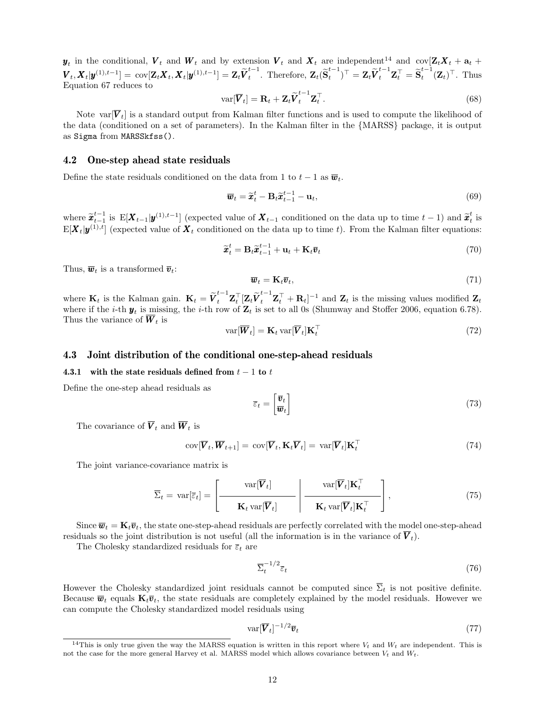$y_t$  in the conditional,  $V_t$  and  $W_t$  and by extension  $V_t$  and  $X_t$  are independent<sup>14</sup> and  $cov[Z_t X_t + a_t +$  $\mathbf{V}_t, \mathbf{X}_t | \boldsymbol{y}^{(1),t-1}] = \text{cov}[\mathbf{Z}_t \boldsymbol{X}_t, \boldsymbol{X}_t | \boldsymbol{y}^{(1),t-1}] = \mathbf{Z}_t \widetilde{\boldsymbol{V}}_t^{t-1}$  $t_t^{t-1}$ . Therefore,  $\mathbf{Z}_t(\widetilde{\mathbf{S}}_t^{t-1})$  $(\boldsymbol{t}^{-1}_t)^\top = \mathbf{Z}_t \widetilde{\boldsymbol{V}}_t^{t-1} \mathbf{Z}_t^\top = \widetilde{\textbf{S}}_t^{t-1}$  $t_t^{t-1}(\mathbf{Z}_t)^\top$ . Thus Equation 67 reduces to

$$
\text{var}[\overline{\boldsymbol{V}}_t] = \mathbf{R}_t + \mathbf{Z}_t \widetilde{\boldsymbol{V}}_t^{t-1} \mathbf{Z}_t^\top.
$$
\n(68)

Note var $[\overline{V}_t]$  is a standard output from Kalman filter functions and is used to compute the likelihood of the data (conditioned on a set of parameters). In the Kalman filter in the {MARSS} package, it is output as Sigma from MARSSkfss().

### 4.2 One-step ahead state residuals

Define the state residuals conditioned on the data from 1 to  $t - 1$  as  $\overline{\boldsymbol{w}}_t$ .

$$
\overline{\boldsymbol{w}}_t = \widetilde{\boldsymbol{x}}_t^t - \mathbf{B}_t \widetilde{\boldsymbol{x}}_{t-1}^{t-1} - \mathbf{u}_t, \tag{69}
$$

where  $\tilde{\mathbf{x}}_{t-1}^{t-1}$  is  $\mathbb{E}[\mathbf{X}_{t-1}|\mathbf{y}^{(1),t-1}]$  (expected value of  $\mathbf{X}_{t-1}$  conditioned on the data up to time  $t-1$ ) and  $\tilde{\mathbf{x}}_t^t$  is  $E[\bm{X}_t|\bm{y}^{(1),t}]$  (expected value of  $\bm{X}_t$  conditioned on the data up to time t). From the Kalman filter equations:

$$
\widetilde{\boldsymbol{x}}_t^t = \mathbf{B}_t \widetilde{\boldsymbol{x}}_{t-1}^{t-1} + \mathbf{u}_t + \mathbf{K}_t \overline{\boldsymbol{v}}_t
$$
\n(70)

Thus,  $\overline{\boldsymbol{w}}_t$  is a transformed  $\overline{\boldsymbol{v}}_t$ :

$$
\overline{\boldsymbol{w}}_t = \mathbf{K}_t \overline{\boldsymbol{v}}_t,\tag{71}
$$

where  $\mathbf{K}_t$  is the Kalman gain.  $\mathbf{K}_t = \tilde{V}_t^{t-1} \mathbf{Z}_t^{\top} [\mathbf{Z}_t \tilde{V}_t^{t-1} \mathbf{Z}_t^{\top} + \mathbf{R}_t]^{-1}$  and  $\mathbf{Z}_t$  is the missing values modified  $\mathbf{Z}_t$ where if the *i*-th  $y_t$  is missing, the *i*-th row of  $\mathbb{Z}_t$  is set to all 0s (Shumway and Stoffer 2006, equation 6.78). Thus the variance of  $W_t$  is

$$
\text{var}[\overline{\boldsymbol{W}}_t] = \mathbf{K}_t \text{var}[\overline{\boldsymbol{V}}_t] \mathbf{K}_t^\top \tag{72}
$$

### 4.3 Joint distribution of the conditional one-step-ahead residuals

### 4.3.1 with the state residuals defined from  $t - 1$  to t

Define the one-step ahead residuals as

$$
\overline{\varepsilon}_t = \begin{bmatrix} \overline{\boldsymbol{v}}_t \\ \overline{\boldsymbol{w}}_t \end{bmatrix} \tag{73}
$$

The covariance of  $\overline{V}_t$  and  $\overline{W}_t$  is

$$
cov[\overline{\boldsymbol{V}}_t, \overline{\boldsymbol{W}}_{t+1}] = cov[\overline{\boldsymbol{V}}_t, \mathbf{K}_t \overline{\boldsymbol{V}}_t] = var[\overline{\boldsymbol{V}}_t] \mathbf{K}_t^\top
$$
\n(74)

The joint variance-covariance matrix is

$$
\overline{\Sigma}_{t} = \text{var}[\overline{\varepsilon}_{t}] = \left[ \frac{\text{var}[\overline{\boldsymbol{V}}_{t}]}{\mathbf{K}_{t} \text{var}[\overline{\boldsymbol{V}}_{t}]} \right] - \frac{\text{var}[\overline{\boldsymbol{V}}_{t}]\mathbf{K}_{t}^{\top}}{\mathbf{K}_{t} \text{var}[\overline{\boldsymbol{V}}_{t}]\mathbf{K}_{t}^{\top}} \right],
$$
\n(75)

Since  $\overline{\mathbf{w}}_t = \mathbf{K}_t \overline{\mathbf{v}}_t$ , the state one-step-ahead residuals are perfectly correlated with the model one-step-ahead residuals so the joint distribution is not useful (all the information is in the variance of  $\overline{V}_t$ ).

The Cholesky standardized residuals for  $\overline{\varepsilon}_t$  are

$$
\overline{\Sigma}_t^{-1/2} \overline{\varepsilon}_t \tag{76}
$$

However the Cholesky standardized joint residuals cannot be computed since  $\overline{\Sigma}_t$  is not positive definite. Because  $\overline{\mathbf{w}}_t$  equals  $\mathbf{K}_t\overline{\mathbf{v}}_t$ , the state residuals are completely explained by the model residuals. However we can compute the Cholesky standardized model residuals using

$$
\text{var}[\overline{\boldsymbol{V}}_t]^{-1/2}\overline{\boldsymbol{v}}_t\tag{77}
$$

<sup>&</sup>lt;sup>14</sup>This is only true given the way the MARSS equation is written in this report where  $V_t$  and  $W_t$  are independent. This is not the case for the more general Harvey et al. MARSS model which allows covariance between  $V_t$  and  $W_t$ .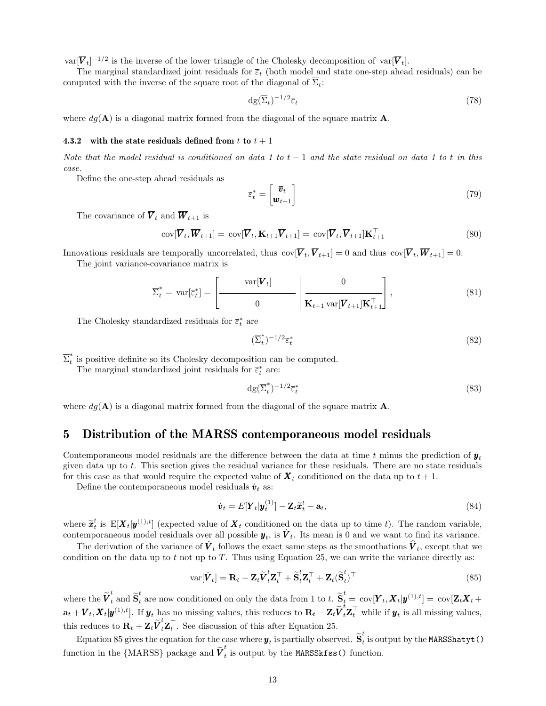$var[\overline{V}_t]^{-1/2}$  is the inverse of the lower triangle of the Cholesky decomposition of  $var[\overline{V}_t]$ .

The marginal standardized joint residuals for  $\bar{\varepsilon}_t$  (both model and state one-step ahead residuals) can be computed with the inverse of the square root of the diagonal of  $\Sigma_t$ :

$$
\mathrm{dg}(\overline{\Sigma}_t)^{-1/2}\overline{\varepsilon}_t\tag{78}
$$

where  $dg(\mathbf{A})$  is a diagonal matrix formed from the diagonal of the square matrix  $\mathbf{A}$ .

#### 4.3.2 with the state residuals defined from t to  $t + 1$

Note that the model residual is conditioned on data 1 to  $t-1$  and the state residual on data 1 to t in this case.

Define the one-step ahead residuals as

$$
\overline{\varepsilon}_t^* = \begin{bmatrix} \overline{\boldsymbol{v}}_t \\ \overline{\boldsymbol{w}}_{t+1} \end{bmatrix} \tag{79}
$$

The covariance of  $\overline{V}_t$  and  $\overline{W}_{t+1}$  is

$$
cov[\overline{\boldsymbol{V}}_t, \overline{\boldsymbol{W}}_{t+1}] = cov[\overline{\boldsymbol{V}}_t, \mathbf{K}_{t+1}\overline{\boldsymbol{V}}_{t+1}] = cov[\overline{\boldsymbol{V}}_t, \overline{\boldsymbol{V}}_{t+1}] \mathbf{K}_{t+1}^\top
$$
\n(80)

Innovations residuals are temporally uncorrelated, thus  $\text{cov}[\overline{V}_t, \overline{V}_{t+1}] = 0$  and thus  $\text{cov}[\overline{V}_t, \overline{W}_{t+1}] = 0$ .

The joint variance-covariance matrix is

$$
\overline{\Sigma}_t^* = \text{var}[\overline{\varepsilon}_t^*] = \left[ \frac{\text{var}[\overline{\mathbf{V}}_t]}{0} \middle| \frac{0}{\mathbf{K}_{t+1} \text{var}[\overline{\mathbf{V}}_{t+1}]\mathbf{K}_{t+1}^\top} \right],\tag{81}
$$

The Cholesky standardized residuals for  $\overline{\varepsilon}^*_t$  are

$$
(\overline{\Sigma}_t^*)^{-1/2}\overline{\varepsilon}_t^* \tag{82}
$$

 $\overline{\Sigma}^*_t$  $\tilde{t}$  is positive definite so its Cholesky decomposition can be computed.

The marginal standardized joint residuals for  $\overline{\varepsilon}^*_t$  are:

$$
\mathrm{dg}(\overline{\Sigma}_t^*)^{-1/2}\overline{\varepsilon}_t^* \tag{83}
$$

where  $dg(\mathbf{A})$  is a diagonal matrix formed from the diagonal of the square matrix  $\mathbf{A}$ .

### 5 Distribution of the MARSS contemporaneous model residuals

Contemporaneous model residuals are the difference between the data at time t minus the prediction of  $y_t$ given data up to t. This section gives the residual variance for these residuals. There are no state residuals for this case as that would require the expected value of  $\mathbf{X}_t$  conditioned on the data up to  $t + 1$ .

Define the contemporaneous model residuals  $\dot{v}_t$  as:

$$
\dot{\boldsymbol{v}}_t = E[\boldsymbol{Y}_t | \boldsymbol{y}_t^{(1)}] - \mathbf{Z}_t \widetilde{\boldsymbol{x}}_t^t - \mathbf{a}_t, \tag{84}
$$

where  $\tilde{\mathbf{z}}_t^t$  is  $E[\mathbf{X}_t | \mathbf{y}^{(1),t}]$  (expected value of  $\mathbf{X}_t$  conditioned on the data up to time t). The random variable, contamporaneous model regiduals over all possible  $u_t$  is  $\tilde{\mathbf{Y}}_t$ . Its mean i contemporaneous model residuals over all possible  $y_t$ , is  $\dot{V}_t$ . Its mean is 0 and we want to find its variance.

The derivation of the variance of  $\vec{V}_t$  follows the exact same steps as the smoothations  $\hat{V}_t$ , except that we condition on the data up to t not up to T. Thus using Equation 25, we can write the variance directly as:

$$
\text{var}[\dot{\boldsymbol{V}}_t] = \mathbf{R}_t - \mathbf{Z}_t \widetilde{\boldsymbol{V}}_t^t \mathbf{Z}_t^\top + \widetilde{\mathbf{S}}_t^t \mathbf{Z}_t^\top + \mathbf{Z}_t (\widetilde{\mathbf{S}}_t^t)^\top
$$
\n(85)

where the  $\widetilde{V}_t^t$  and  $\widetilde{S}_t^t$  are now conditioned on only the data from 1 to t.  $\widetilde{S}_t^t = \text{cov}[\boldsymbol{Y}_t, \boldsymbol{X}_t | \boldsymbol{y}^{(1),t}] = \text{cov}[\boldsymbol{Z}_t \boldsymbol{X}_t + \boldsymbol{Z}_t]$  $\mathbf{a}_t + \boldsymbol{V}_t, \boldsymbol{X}_t | \boldsymbol{y}^{(1),t}].$  If  $\boldsymbol{y}_t$  has no missing values, this reduces to  $\mathbf{R}_t - \mathbf{Z}_t \widetilde{\boldsymbol{V}}_t^t \mathbf{Z}_t^\top$  while if  $\boldsymbol{y}_t$  is all missing values, this reduces to  $\mathbf{R}_t + \mathbf{Z}_t \widetilde{\boldsymbol{V}}_t^t \mathbf{Z}_t^{\top}$ . See discussion of this after Equation 25.

Equation 85 gives the equation for the case where  $y_t$  is partially observed.  $\tilde{\mathbf{s}}_t^t$  $\tilde{t}_t$  is output by the MARSShatyt() function in the {MARSS} package and  $\widetilde{\boldsymbol{V}}_t^t$  $\tilde{t}_t$  is output by the MARSSkfss() function.